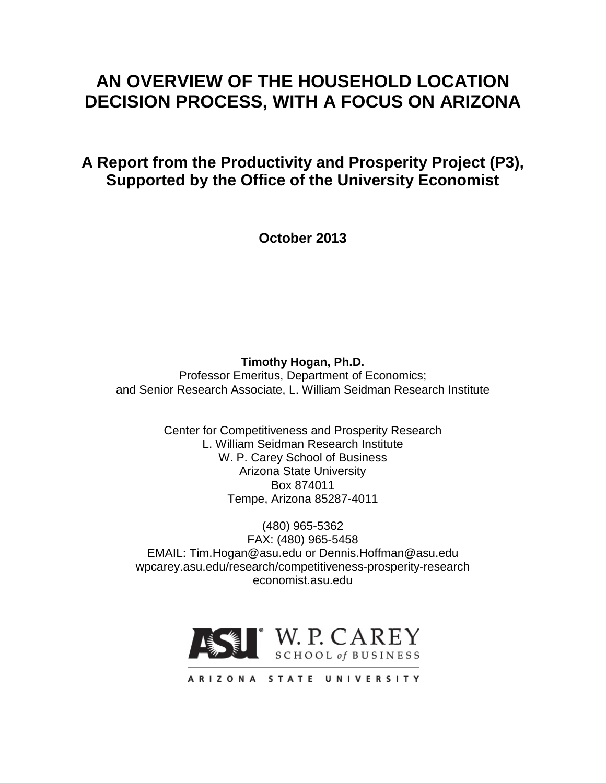# **AN OVERVIEW OF THE HOUSEHOLD LOCATION DECISION PROCESS, WITH A FOCUS ON ARIZONA**

**A Report from the Productivity and Prosperity Project (P3), Supported by the Office of the University Economist**

**October 2013**

**Timothy Hogan, Ph.D.** Professor Emeritus, Department of Economics; and Senior Research Associate, L. William Seidman Research Institute

> Center for Competitiveness and Prosperity Research L. William Seidman Research Institute W. P. Carey School of Business Arizona State University Box 874011 Tempe, Arizona 85287-4011

(480) 965-5362 FAX: (480) 965-5458 EMAIL: Tim.Hogan@asu.edu or Dennis.Hoffman@asu.edu wpcarey.asu.edu/research/competitiveness-prosperity-research economist.asu.edu



ARIZONA STATE UNIVERSITY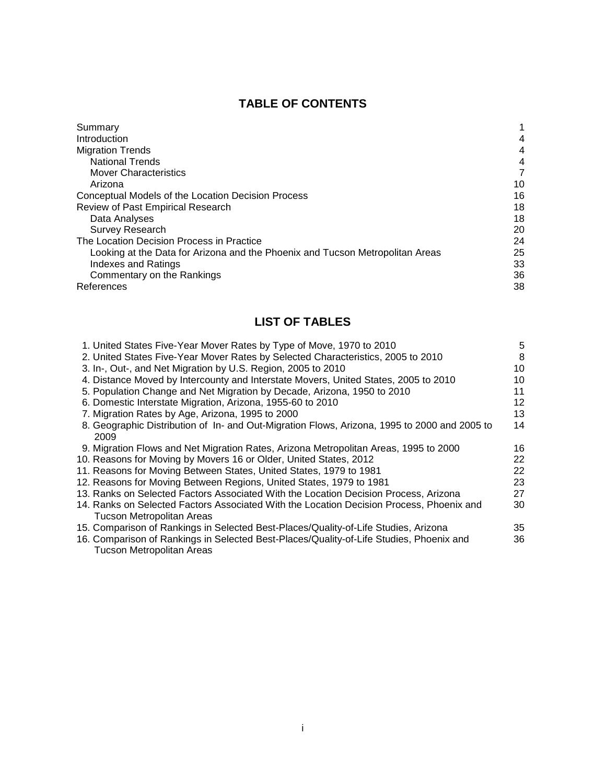# **TABLE OF CONTENTS**

| Summary                                                                       |    |
|-------------------------------------------------------------------------------|----|
| Introduction                                                                  | 4  |
| <b>Migration Trends</b>                                                       | 4  |
| <b>National Trends</b>                                                        | 4  |
| <b>Mover Characteristics</b>                                                  | 7  |
| Arizona                                                                       | 10 |
| Conceptual Models of the Location Decision Process                            | 16 |
| Review of Past Empirical Research                                             | 18 |
| Data Analyses                                                                 | 18 |
| <b>Survey Research</b>                                                        | 20 |
| The Location Decision Process in Practice                                     | 24 |
| Looking at the Data for Arizona and the Phoenix and Tucson Metropolitan Areas | 25 |
| <b>Indexes and Ratings</b>                                                    | 33 |
| Commentary on the Rankings                                                    | 36 |
| References                                                                    | 38 |

# **LIST OF TABLES**

| 1. United States Five-Year Mover Rates by Type of Move, 1970 to 2010                         | 5  |
|----------------------------------------------------------------------------------------------|----|
| 2. United States Five-Year Mover Rates by Selected Characteristics, 2005 to 2010             | 8  |
| 3. In-, Out-, and Net Migration by U.S. Region, 2005 to 2010                                 | 10 |
| 4. Distance Moved by Intercounty and Interstate Movers, United States, 2005 to 2010          | 10 |
| 5. Population Change and Net Migration by Decade, Arizona, 1950 to 2010                      | 11 |
| 6. Domestic Interstate Migration, Arizona, 1955-60 to 2010                                   | 12 |
| 7. Migration Rates by Age, Arizona, 1995 to 2000                                             | 13 |
| 8. Geographic Distribution of In- and Out-Migration Flows, Arizona, 1995 to 2000 and 2005 to | 14 |
| 2009                                                                                         |    |
| 9. Migration Flows and Net Migration Rates, Arizona Metropolitan Areas, 1995 to 2000         | 16 |
| 10. Reasons for Moving by Movers 16 or Older, United States, 2012                            | 22 |
| 11. Reasons for Moving Between States, United States, 1979 to 1981                           | 22 |
| 12. Reasons for Moving Between Regions, United States, 1979 to 1981                          | 23 |
| 13. Ranks on Selected Factors Associated With the Location Decision Process, Arizona         | 27 |
| 14. Ranks on Selected Factors Associated With the Location Decision Process, Phoenix and     | 30 |
| <b>Tucson Metropolitan Areas</b>                                                             |    |
| 15. Comparison of Rankings in Selected Best-Places/Quality-of-Life Studies, Arizona          | 35 |
| 16. Comparison of Rankings in Selected Best-Places/Quality-of-Life Studies, Phoenix and      | 36 |
| <b>Tucson Metropolitan Areas</b>                                                             |    |
|                                                                                              |    |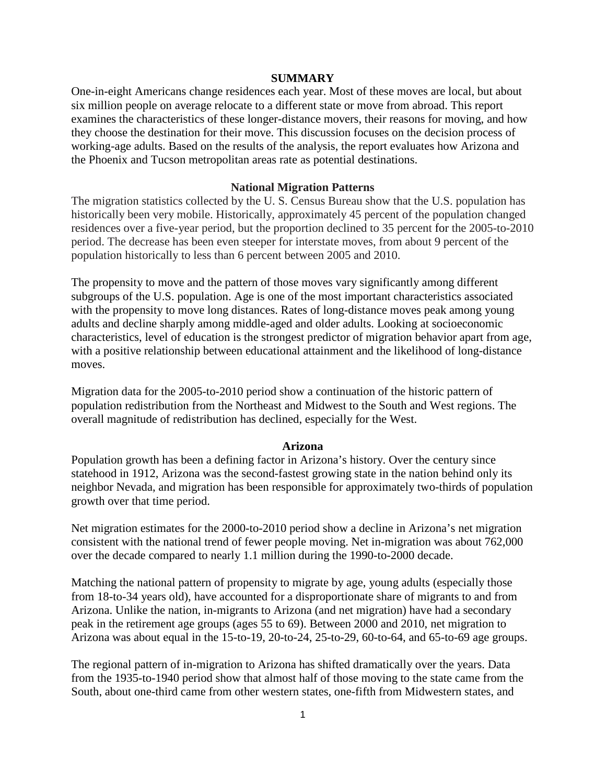#### **SUMMARY**

One-in-eight Americans change residences each year. Most of these moves are local, but about six million people on average relocate to a different state or move from abroad. This report examines the characteristics of these longer-distance movers, their reasons for moving, and how they choose the destination for their move. This discussion focuses on the decision process of working-age adults. Based on the results of the analysis, the report evaluates how Arizona and the Phoenix and Tucson metropolitan areas rate as potential destinations.

#### **National Migration Patterns**

The migration statistics collected by the U. S. Census Bureau show that the U.S. population has historically been very mobile. Historically, approximately 45 percent of the population changed residences over a five-year period, but the proportion declined to 35 percent for the 2005-to-2010 period. The decrease has been even steeper for interstate moves, from about 9 percent of the population historically to less than 6 percent between 2005 and 2010.

The propensity to move and the pattern of those moves vary significantly among different subgroups of the U.S. population. Age is one of the most important characteristics associated with the propensity to move long distances. Rates of long-distance moves peak among young adults and decline sharply among middle-aged and older adults. Looking at socioeconomic characteristics, level of education is the strongest predictor of migration behavior apart from age, with a positive relationship between educational attainment and the likelihood of long-distance moves.

Migration data for the 2005-to-2010 period show a continuation of the historic pattern of population redistribution from the Northeast and Midwest to the South and West regions. The overall magnitude of redistribution has declined, especially for the West.

#### **Arizona**

Population growth has been a defining factor in Arizona's history. Over the century since statehood in 1912, Arizona was the second-fastest growing state in the nation behind only its neighbor Nevada, and migration has been responsible for approximately two-thirds of population growth over that time period.

Net migration estimates for the 2000-to-2010 period show a decline in Arizona's net migration consistent with the national trend of fewer people moving. Net in-migration was about 762,000 over the decade compared to nearly 1.1 million during the 1990-to-2000 decade.

Matching the national pattern of propensity to migrate by age, young adults (especially those from 18-to-34 years old), have accounted for a disproportionate share of migrants to and from Arizona. Unlike the nation, in-migrants to Arizona (and net migration) have had a secondary peak in the retirement age groups (ages 55 to 69). Between 2000 and 2010, net migration to Arizona was about equal in the 15-to-19, 20-to-24, 25-to-29, 60-to-64, and 65-to-69 age groups.

The regional pattern of in-migration to Arizona has shifted dramatically over the years. Data from the 1935-to-1940 period show that almost half of those moving to the state came from the South, about one-third came from other western states, one-fifth from Midwestern states, and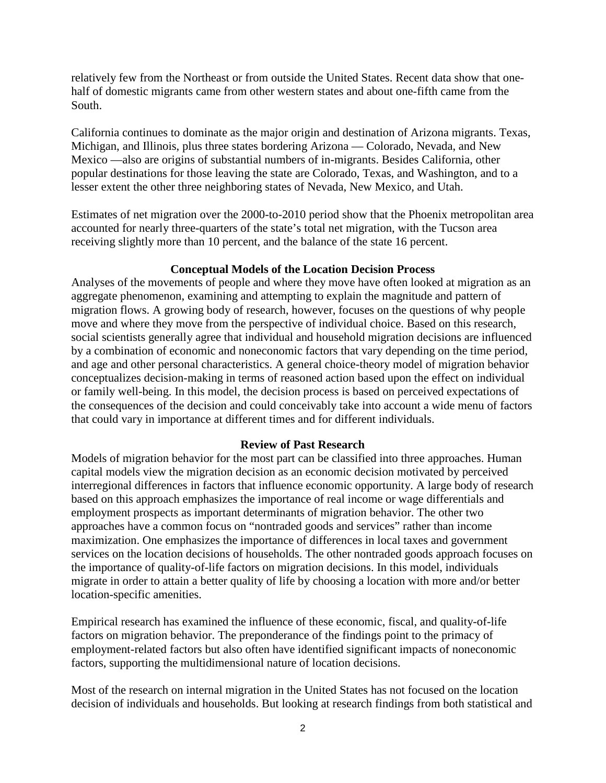relatively few from the Northeast or from outside the United States. Recent data show that onehalf of domestic migrants came from other western states and about one-fifth came from the South.

California continues to dominate as the major origin and destination of Arizona migrants. Texas, Michigan, and Illinois, plus three states bordering Arizona — Colorado, Nevada, and New Mexico —also are origins of substantial numbers of in-migrants. Besides California, other popular destinations for those leaving the state are Colorado, Texas, and Washington, and to a lesser extent the other three neighboring states of Nevada, New Mexico, and Utah.

Estimates of net migration over the 2000-to-2010 period show that the Phoenix metropolitan area accounted for nearly three-quarters of the state's total net migration, with the Tucson area receiving slightly more than 10 percent, and the balance of the state 16 percent.

# **Conceptual Models of the Location Decision Process**

Analyses of the movements of people and where they move have often looked at migration as an aggregate phenomenon, examining and attempting to explain the magnitude and pattern of migration flows. A growing body of research, however, focuses on the questions of why people move and where they move from the perspective of individual choice. Based on this research, social scientists generally agree that individual and household migration decisions are influenced by a combination of economic and noneconomic factors that vary depending on the time period, and age and other personal characteristics. A general choice-theory model of migration behavior conceptualizes decision-making in terms of reasoned action based upon the effect on individual or family well-being. In this model, the decision process is based on perceived expectations of the consequences of the decision and could conceivably take into account a wide menu of factors that could vary in importance at different times and for different individuals.

# **Review of Past Research**

Models of migration behavior for the most part can be classified into three approaches. Human capital models view the migration decision as an economic decision motivated by perceived interregional differences in factors that influence economic opportunity. A large body of research based on this approach emphasizes the importance of real income or wage differentials and employment prospects as important determinants of migration behavior. The other two approaches have a common focus on "nontraded goods and services" rather than income maximization. One emphasizes the importance of differences in local taxes and government services on the location decisions of households. The other nontraded goods approach focuses on the importance of quality-of-life factors on migration decisions. In this model, individuals migrate in order to attain a better quality of life by choosing a location with more and/or better location-specific amenities.

Empirical research has examined the influence of these economic, fiscal, and quality-of-life factors on migration behavior. The preponderance of the findings point to the primacy of employment-related factors but also often have identified significant impacts of noneconomic factors, supporting the multidimensional nature of location decisions.

Most of the research on internal migration in the United States has not focused on the location decision of individuals and households. But looking at research findings from both statistical and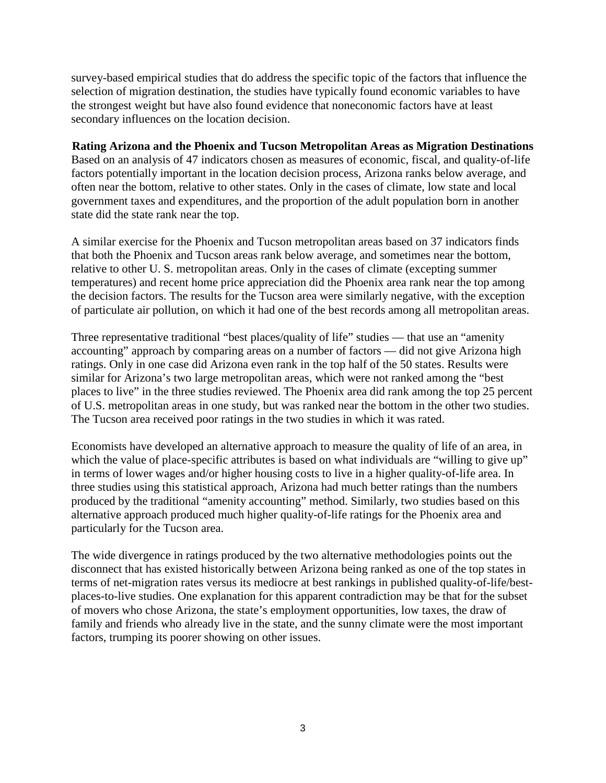survey-based empirical studies that do address the specific topic of the factors that influence the selection of migration destination, the studies have typically found economic variables to have the strongest weight but have also found evidence that noneconomic factors have at least secondary influences on the location decision.

# **Rating Arizona and the Phoenix and Tucson Metropolitan Areas as Migration Destinations** Based on an analysis of 47 indicators chosen as measures of economic, fiscal, and quality-of-life factors potentially important in the location decision process, Arizona ranks below average, and often near the bottom, relative to other states. Only in the cases of climate, low state and local government taxes and expenditures, and the proportion of the adult population born in another state did the state rank near the top.

A similar exercise for the Phoenix and Tucson metropolitan areas based on 37 indicators finds that both the Phoenix and Tucson areas rank below average, and sometimes near the bottom, relative to other U. S. metropolitan areas. Only in the cases of climate (excepting summer temperatures) and recent home price appreciation did the Phoenix area rank near the top among the decision factors. The results for the Tucson area were similarly negative, with the exception of particulate air pollution, on which it had one of the best records among all metropolitan areas.

Three representative traditional "best places/quality of life" studies — that use an "amenity accounting" approach by comparing areas on a number of factors — did not give Arizona high ratings. Only in one case did Arizona even rank in the top half of the 50 states. Results were similar for Arizona's two large metropolitan areas, which were not ranked among the "best places to live" in the three studies reviewed. The Phoenix area did rank among the top 25 percent of U.S. metropolitan areas in one study, but was ranked near the bottom in the other two studies. The Tucson area received poor ratings in the two studies in which it was rated.

Economists have developed an alternative approach to measure the quality of life of an area, in which the value of place-specific attributes is based on what individuals are "willing to give up" in terms of lower wages and/or higher housing costs to live in a higher quality-of-life area. In three studies using this statistical approach, Arizona had much better ratings than the numbers produced by the traditional "amenity accounting" method. Similarly, two studies based on this alternative approach produced much higher quality-of-life ratings for the Phoenix area and particularly for the Tucson area.

The wide divergence in ratings produced by the two alternative methodologies points out the disconnect that has existed historically between Arizona being ranked as one of the top states in terms of net-migration rates versus its mediocre at best rankings in published quality-of-life/bestplaces-to-live studies. One explanation for this apparent contradiction may be that for the subset of movers who chose Arizona, the state's employment opportunities, low taxes, the draw of family and friends who already live in the state, and the sunny climate were the most important factors, trumping its poorer showing on other issues.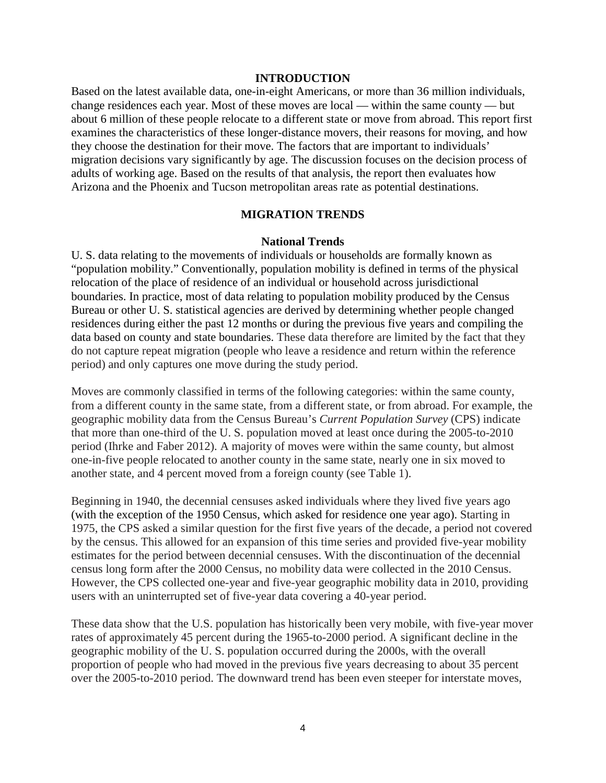### **INTRODUCTION**

Based on the latest available data, one-in-eight Americans, or more than 36 million individuals, change residences each year. Most of these moves are local — within the same county — but about 6 million of these people relocate to a different state or move from abroad. This report first examines the characteristics of these longer-distance movers, their reasons for moving, and how they choose the destination for their move. The factors that are important to individuals' migration decisions vary significantly by age. The discussion focuses on the decision process of adults of working age. Based on the results of that analysis, the report then evaluates how Arizona and the Phoenix and Tucson metropolitan areas rate as potential destinations.

### **MIGRATION TRENDS**

#### **National Trends**

U. S. data relating to the movements of individuals or households are formally known as "population mobility." Conventionally, population mobility is defined in terms of the physical relocation of the place of residence of an individual or household across jurisdictional boundaries. In practice, most of data relating to population mobility produced by the Census Bureau or other U. S. statistical agencies are derived by determining whether people changed residences during either the past 12 months or during the previous five years and compiling the data based on county and state boundaries. These data therefore are limited by the fact that they do not capture repeat migration (people who leave a residence and return within the reference period) and only captures one move during the study period.

Moves are commonly classified in terms of the following categories: within the same county, from a different county in the same state, from a different state, or from abroad. For example, the geographic mobility data from the Census Bureau's *Current Population Survey* (CPS) indicate that more than one-third of the U. S. population moved at least once during the 2005-to-2010 period (Ihrke and Faber 2012). A majority of moves were within the same county, but almost one-in-five people relocated to another county in the same state, nearly one in six moved to another state, and 4 percent moved from a foreign county (see Table 1).

Beginning in 1940, the decennial censuses asked individuals where they lived five years ago (with the exception of the 1950 Census, which asked for residence one year ago). Starting in 1975, the CPS asked a similar question for the first five years of the decade, a period not covered by the census. This allowed for an expansion of this time series and provided five-year mobility estimates for the period between decennial censuses. With the discontinuation of the decennial census long form after the 2000 Census, no mobility data were collected in the 2010 Census. However, the CPS collected one-year and five-year geographic mobility data in 2010, providing users with an uninterrupted set of five-year data covering a 40-year period.

These data show that the U.S. population has historically been very mobile, with five-year mover rates of approximately 45 percent during the 1965-to-2000 period. A significant decline in the geographic mobility of the U. S. population occurred during the 2000s, with the overall proportion of people who had moved in the previous five years decreasing to about 35 percent over the 2005-to-2010 period. The downward trend has been even steeper for interstate moves,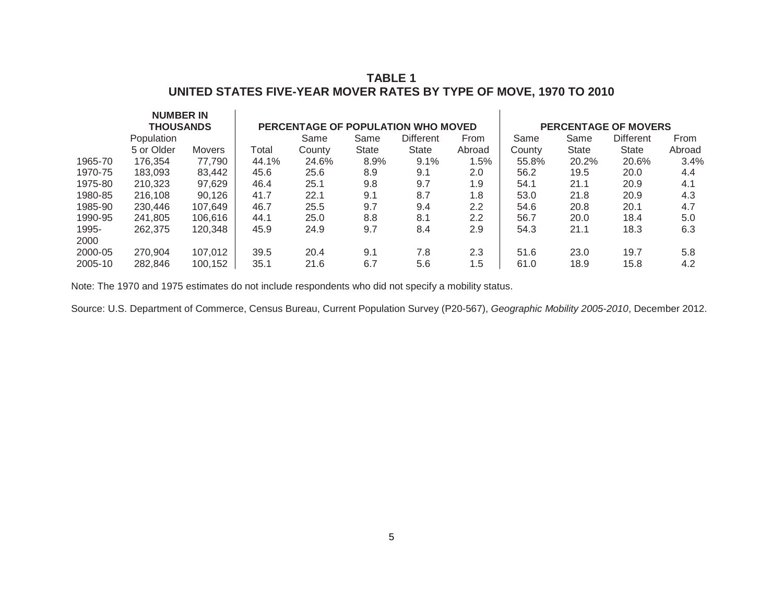# **TABLE 1 UNITED STATES FIVE-YEAR MOVER RATES BY TYPE OF MOVE, 1970 TO 2010**

|               | <b>NUMBER IN</b><br><b>THOUSANDS</b> |         |       |        |              | PERCENTAGE OF POPULATION WHO MOVED |        |        |       | <b>PERCENTAGE OF MOVERS</b> |        |
|---------------|--------------------------------------|---------|-------|--------|--------------|------------------------------------|--------|--------|-------|-----------------------------|--------|
|               | Population                           |         |       | Same   | Same         | <b>Different</b>                   | From   | Same   | Same  | <b>Different</b>            | From   |
|               | 5 or Older                           | Movers  | Total | County | <b>State</b> | <b>State</b>                       | Abroad | County | State | <b>State</b>                | Abroad |
| 1965-70       | 176,354                              | 77,790  | 44.1% | 24.6%  | 8.9%         | 9.1%                               | 1.5%   | 55.8%  | 20.2% | 20.6%                       | 3.4%   |
| 1970-75       | 183,093                              | 83,442  | 45.6  | 25.6   | 8.9          | 9.1                                | 2.0    | 56.2   | 19.5  | 20.0                        | 4.4    |
| 1975-80       | 210,323                              | 97,629  | 46.4  | 25.1   | 9.8          | 9.7                                | 1.9    | 54.1   | 21.1  | 20.9                        | 4.1    |
| 1980-85       | 216,108                              | 90,126  | 41.7  | 22.1   | 9.1          | 8.7                                | 1.8    | 53.0   | 21.8  | 20.9                        | 4.3    |
| 1985-90       | 230,446                              | 107,649 | 46.7  | 25.5   | 9.7          | 9.4                                | 2.2    | 54.6   | 20.8  | 20.1                        | 4.7    |
| 1990-95       | 241,805                              | 106,616 | 44.1  | 25.0   | 8.8          | 8.1                                | 2.2    | 56.7   | 20.0  | 18.4                        | 5.0    |
| 1995-<br>2000 | 262,375                              | 120,348 | 45.9  | 24.9   | 9.7          | 8.4                                | 2.9    | 54.3   | 21.1  | 18.3                        | 6.3    |
| 2000-05       | 270,904                              | 107,012 | 39.5  | 20.4   | 9.1          | 7.8                                | 2.3    | 51.6   | 23.0  | 19.7                        | 5.8    |
| 2005-10       | 282,846                              | 100,152 | 35.1  | 21.6   | 6.7          | 5.6                                | 1.5    | 61.0   | 18.9  | 15.8                        | 4.2    |

Note: The 1970 and 1975 estimates do not include respondents who did not specify a mobility status.

Source: U.S. Department of Commerce, Census Bureau, Current Population Survey (P20-567), *Geographic Mobility 2005-2010*, December 2012.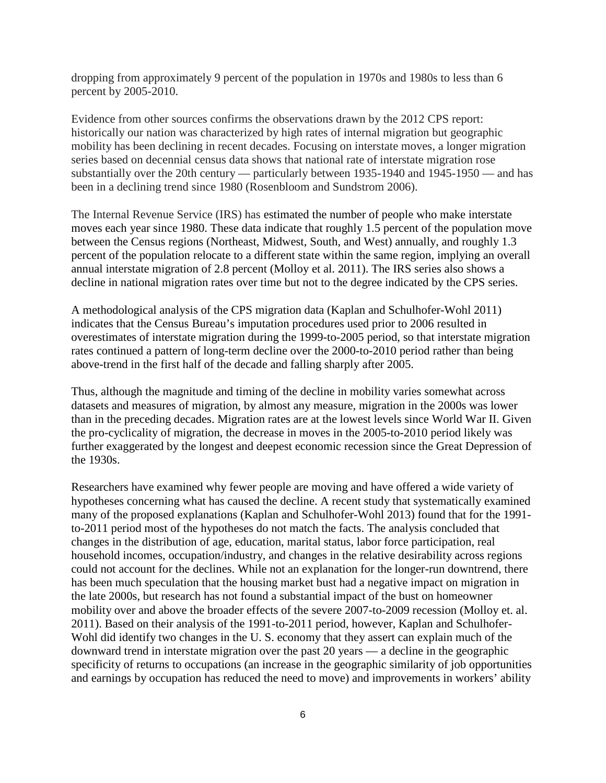dropping from approximately 9 percent of the population in 1970s and 1980s to less than 6 percent by 2005-2010.

Evidence from other sources confirms the observations drawn by the 2012 CPS report: historically our nation was characterized by high rates of internal migration but geographic mobility has been declining in recent decades. Focusing on interstate moves, a longer migration series based on decennial census data shows that national rate of interstate migration rose substantially over the 20th century — particularly between 1935-1940 and 1945-1950 — and has been in a declining trend since 1980 (Rosenbloom and Sundstrom 2006).

The Internal Revenue Service (IRS) has estimated the number of people who make interstate moves each year since 1980. These data indicate that roughly 1.5 percent of the population move between the Census regions (Northeast, Midwest, South, and West) annually, and roughly 1.3 percent of the population relocate to a different state within the same region, implying an overall annual interstate migration of 2.8 percent (Molloy et al. 2011). The IRS series also shows a decline in national migration rates over time but not to the degree indicated by the CPS series.

A methodological analysis of the CPS migration data (Kaplan and Schulhofer-Wohl 2011) indicates that the Census Bureau's imputation procedures used prior to 2006 resulted in overestimates of interstate migration during the 1999-to-2005 period, so that interstate migration rates continued a pattern of long-term decline over the 2000-to-2010 period rather than being above-trend in the first half of the decade and falling sharply after 2005.

Thus, although the magnitude and timing of the decline in mobility varies somewhat across datasets and measures of migration, by almost any measure, migration in the 2000s was lower than in the preceding decades. Migration rates are at the lowest levels since World War II. Given the pro-cyclicality of migration, the decrease in moves in the 2005-to-2010 period likely was further exaggerated by the longest and deepest economic recession since the Great Depression of the 1930s.

Researchers have examined why fewer people are moving and have offered a wide variety of hypotheses concerning what has caused the decline. A recent study that systematically examined many of the proposed explanations (Kaplan and Schulhofer-Wohl 2013) found that for the 1991 to-2011 period most of the hypotheses do not match the facts. The analysis concluded that changes in the distribution of age, education, marital status, labor force participation, real household incomes, occupation/industry, and changes in the relative desirability across regions could not account for the declines. While not an explanation for the longer-run downtrend, there has been much speculation that the housing market bust had a negative impact on migration in the late 2000s, but research has not found a substantial impact of the bust on homeowner mobility over and above the broader effects of the severe 2007-to-2009 recession (Molloy et. al. 2011). Based on their analysis of the 1991-to-2011 period, however, Kaplan and Schulhofer-Wohl did identify two changes in the U.S. economy that they assert can explain much of the downward trend in interstate migration over the past 20 years — a decline in the geographic specificity of returns to occupations (an increase in the geographic similarity of job opportunities and earnings by occupation has reduced the need to move) and improvements in workers' ability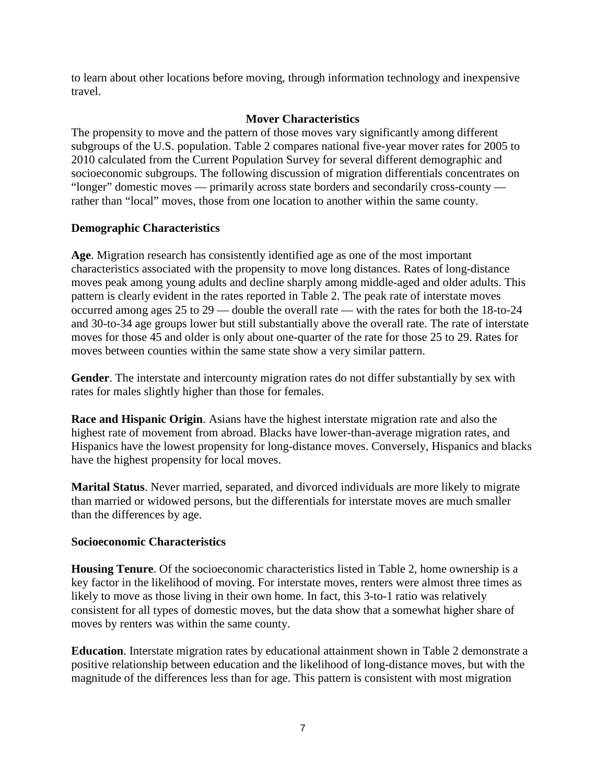to learn about other locations before moving, through information technology and inexpensive travel.

# **Mover Characteristics**

The propensity to move and the pattern of those moves vary significantly among different subgroups of the U.S. population. Table 2 compares national five-year mover rates for 2005 to 2010 calculated from the Current Population Survey for several different demographic and socioeconomic subgroups. The following discussion of migration differentials concentrates on "longer" domestic moves — primarily across state borders and secondarily cross-county rather than "local" moves, those from one location to another within the same county.

# **Demographic Characteristics**

**Age**. Migration research has consistently identified age as one of the most important characteristics associated with the propensity to move long distances. Rates of long-distance moves peak among young adults and decline sharply among middle-aged and older adults. This pattern is clearly evident in the rates reported in Table 2. The peak rate of interstate moves occurred among ages 25 to 29 — double the overall rate — with the rates for both the 18-to-24 and 30-to-34 age groups lower but still substantially above the overall rate. The rate of interstate moves for those 45 and older is only about one-quarter of the rate for those 25 to 29. Rates for moves between counties within the same state show a very similar pattern.

**Gender**. The interstate and intercounty migration rates do not differ substantially by sex with rates for males slightly higher than those for females.

**Race and Hispanic Origin**. Asians have the highest interstate migration rate and also the highest rate of movement from abroad. Blacks have lower-than-average migration rates, and Hispanics have the lowest propensity for long-distance moves. Conversely, Hispanics and blacks have the highest propensity for local moves.

**Marital Status**. Never married, separated, and divorced individuals are more likely to migrate than married or widowed persons, but the differentials for interstate moves are much smaller than the differences by age.

# **Socioeconomic Characteristics**

**Housing Tenure**. Of the socioeconomic characteristics listed in Table 2, home ownership is a key factor in the likelihood of moving. For interstate moves, renters were almost three times as likely to move as those living in their own home. In fact, this 3-to-1 ratio was relatively consistent for all types of domestic moves, but the data show that a somewhat higher share of moves by renters was within the same county.

**Education**. Interstate migration rates by educational attainment shown in Table 2 demonstrate a positive relationship between education and the likelihood of long-distance moves, but with the magnitude of the differences less than for age. This pattern is consistent with most migration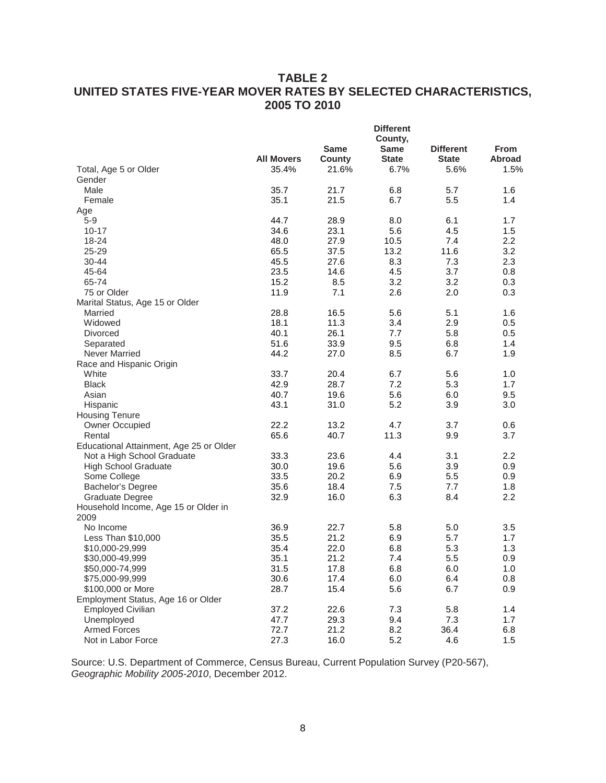# **TABLE 2 UNITED STATES FIVE-YEAR MOVER RATES BY SELECTED CHARACTERISTICS, 2005 TO 2010**

|                                         | <b>Different</b>  |             |              |                  |               |
|-----------------------------------------|-------------------|-------------|--------------|------------------|---------------|
|                                         |                   |             | County,      |                  |               |
|                                         |                   | <b>Same</b> | <b>Same</b>  | <b>Different</b> | From          |
|                                         | <b>All Movers</b> | County      | <b>State</b> | <b>State</b>     | <b>Abroad</b> |
| Total, Age 5 or Older                   | 35.4%             | 21.6%       | 6.7%         | 5.6%             | 1.5%          |
| Gender                                  |                   |             |              |                  |               |
| Male                                    | 35.7              | 21.7        | 6.8          | 5.7              | 1.6           |
| Female                                  | 35.1              | 21.5        | 6.7          | 5.5              | 1.4           |
| Age                                     |                   |             |              |                  |               |
| $5-9$                                   | 44.7              | 28.9        | 8.0          | 6.1              | 1.7           |
| $10 - 17$                               | 34.6              | 23.1        | 5.6          | 4.5              | 1.5           |
| $18 - 24$                               | 48.0              | 27.9        | 10.5         | 7.4              | 2.2           |
| 25-29                                   | 65.5              | 37.5        | 13.2         | 11.6             | 3.2           |
| 30-44                                   | 45.5              | 27.6        | 8.3          | 7.3              | 2.3           |
| 45-64                                   | 23.5              | 14.6        | 4.5          | 3.7              | 0.8           |
| 65-74                                   | 15.2              | 8.5         | 3.2          | 3.2              | 0.3           |
| 75 or Older                             | 11.9              | 7.1         | 2.6          | 2.0              | 0.3           |
| Marital Status, Age 15 or Older         |                   |             |              |                  |               |
| Married                                 | 28.8              | 16.5        | 5.6          | 5.1              | 1.6           |
| Widowed                                 | 18.1              | 11.3        | 3.4          | 2.9              | 0.5           |
| <b>Divorced</b>                         | 40.1              | 26.1        | 7.7          | 5.8              | 0.5           |
| Separated                               | 51.6              | 33.9        | 9.5          | 6.8              | 1.4           |
| Never Married                           | 44.2              | 27.0        | 8.5          | 6.7              | 1.9           |
| Race and Hispanic Origin                |                   |             |              |                  |               |
| White                                   | 33.7              | 20.4        | 6.7          | 5.6              | 1.0           |
| <b>Black</b>                            | 42.9              | 28.7        | 7.2          | 5.3              | 1.7           |
| Asian                                   | 40.7              | 19.6        | 5.6          | 6.0              | 9.5           |
| Hispanic                                | 43.1              | 31.0        | 5.2          | 3.9              | 3.0           |
| <b>Housing Tenure</b>                   |                   |             |              |                  |               |
| Owner Occupied                          | 22.2              | 13.2        | 4.7          | 3.7              | 0.6           |
| Rental                                  | 65.6              | 40.7        | 11.3         | 9.9              | 3.7           |
| Educational Attainment, Age 25 or Older |                   |             |              |                  |               |
| Not a High School Graduate              | 33.3              | 23.6        | 4.4          | 3.1              | 2.2           |
| <b>High School Graduate</b>             | 30.0              | 19.6        | 5.6          | 3.9              | 0.9           |
| Some College                            | 33.5              | 20.2        | 6.9          | 5.5              | 0.9           |
| Bachelor's Degree                       | 35.6              | 18.4        | 7.5          | 7.7              | 1.8           |
| Graduate Degree                         | 32.9              | 16.0        | 6.3          | 8.4              | 2.2           |
| Household Income, Age 15 or Older in    |                   |             |              |                  |               |
| 2009                                    |                   |             |              |                  |               |
| No Income                               | 36.9              | 22.7        | 5.8          | 5.0              | 3.5           |
| Less Than \$10,000                      | 35.5              | 21.2        | 6.9          | 5.7              | 1.7           |
| \$10,000-29,999                         | 35.4              | 22.0        | 6.8          | 5.3              | 1.3           |
| \$30,000-49,999                         | 35.1              | 21.2        | 7.4          | 5.5              | 0.9           |
| \$50,000-74,999                         | 31.5              | 17.8        | 6.8          | 6.0              | 1.0           |
| \$75,000-99,999                         | 30.6              | 17.4        | 6.0          | 6.4              | 0.8           |
| \$100,000 or More                       | 28.7              | 15.4        | 5.6          | 6.7              | 0.9           |
| Employment Status, Age 16 or Older      |                   |             |              |                  |               |
| <b>Employed Civilian</b>                | 37.2              | 22.6        | 7.3          | 5.8              | 1.4           |
| Unemployed                              | 47.7              | 29.3        | 9.4          | 7.3              | 1.7           |
| <b>Armed Forces</b>                     | 72.7              | 21.2        | 8.2          | 36.4             | 6.8           |
| Not in Labor Force                      | 27.3              | 16.0        | 5.2          | 4.6              | 1.5           |
|                                         |                   |             |              |                  |               |

Source: U.S. Department of Commerce, Census Bureau, Current Population Survey (P20-567), *Geographic Mobility 2005-2010*, December 2012.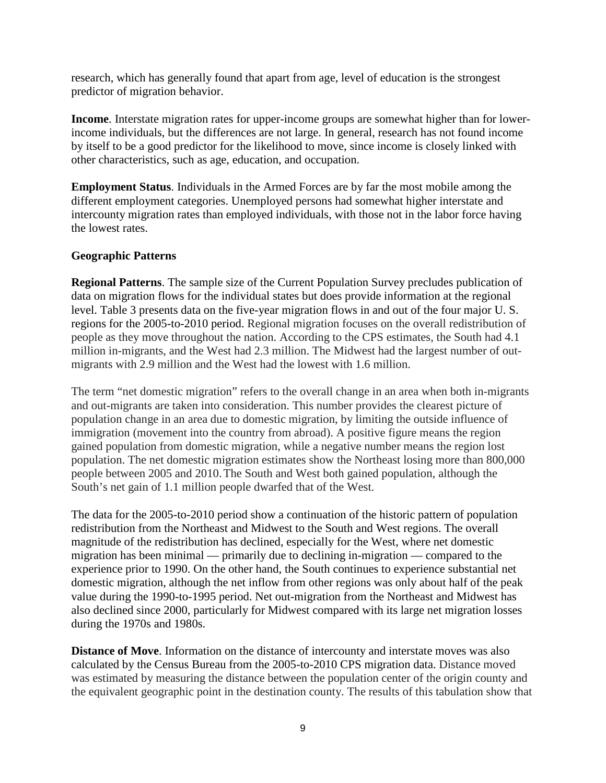research, which has generally found that apart from age, level of education is the strongest predictor of migration behavior.

**Income**. Interstate migration rates for upper-income groups are somewhat higher than for lowerincome individuals, but the differences are not large. In general, research has not found income by itself to be a good predictor for the likelihood to move, since income is closely linked with other characteristics, such as age, education, and occupation.

**Employment Status**. Individuals in the Armed Forces are by far the most mobile among the different employment categories. Unemployed persons had somewhat higher interstate and intercounty migration rates than employed individuals, with those not in the labor force having the lowest rates.

# **Geographic Patterns**

**Regional Patterns**. The sample size of the Current Population Survey precludes publication of data on migration flows for the individual states but does provide information at the regional level. Table 3 presents data on the five-year migration flows in and out of the four major U. S. regions for the 2005-to-2010 period. Regional migration focuses on the overall redistribution of people as they move throughout the nation. According to the CPS estimates, the South had 4.1 million in-migrants, and the West had 2.3 million. The Midwest had the largest number of outmigrants with 2.9 million and the West had the lowest with 1.6 million.

The term "net domestic migration" refers to the overall change in an area when both in-migrants and out-migrants are taken into consideration. This number provides the clearest picture of population change in an area due to domestic migration, by limiting the outside influence of immigration (movement into the country from abroad). A positive figure means the region gained population from domestic migration, while a negative number means the region lost population. The net domestic migration estimates show the Northeast losing more than 800,000 people between 2005 and 2010.The South and West both gained population, although the South's net gain of 1.1 million people dwarfed that of the West.

The data for the 2005-to-2010 period show a continuation of the historic pattern of population redistribution from the Northeast and Midwest to the South and West regions. The overall magnitude of the redistribution has declined, especially for the West, where net domestic migration has been minimal — primarily due to declining in-migration — compared to the experience prior to 1990. On the other hand, the South continues to experience substantial net domestic migration, although the net inflow from other regions was only about half of the peak value during the 1990-to-1995 period. Net out-migration from the Northeast and Midwest has also declined since 2000, particularly for Midwest compared with its large net migration losses during the 1970s and 1980s.

**Distance of Move**. Information on the distance of intercounty and interstate moves was also calculated by the Census Bureau from the 2005-to-2010 CPS migration data. Distance moved was estimated by measuring the distance between the population center of the origin county and the equivalent geographic point in the destination county. The results of this tabulation show that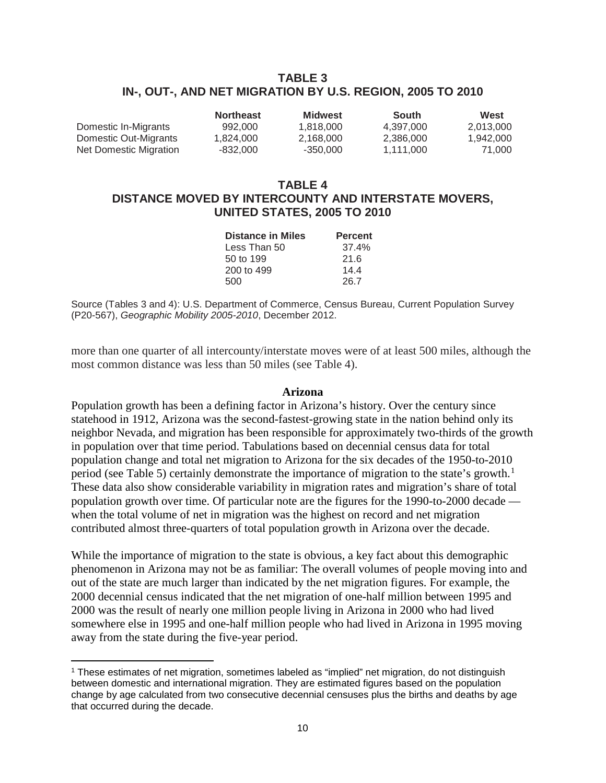# **TABLE 3 IN-, OUT-, AND NET MIGRATION BY U.S. REGION, 2005 TO 2010**

|                        | <b>Northeast</b> | Midwest   | South     | West      |
|------------------------|------------------|-----------|-----------|-----------|
| Domestic In-Migrants   | 992,000          | 1.818.000 | 4.397.000 | 2.013.000 |
| Domestic Out-Migrants  | 1.824.000        | 2.168.000 | 2.386.000 | 1.942.000 |
| Net Domestic Migration | -832.000         | -350.000  | 1.111.000 | 71.000    |

# **TABLE 4 DISTANCE MOVED BY INTERCOUNTY AND INTERSTATE MOVERS, UNITED STATES, 2005 TO 2010**

| <b>Distance in Miles</b> | <b>Percent</b> |
|--------------------------|----------------|
| Less Than 50             | 37.4%          |
| 50 to 199                | 21.6           |
| 200 to 499               | 14.4           |
| 500                      | 26.7           |

Source (Tables 3 and 4): U.S. Department of Commerce, Census Bureau, Current Population Survey (P20-567), *Geographic Mobility 2005-2010*, December 2012.

more than one quarter of all intercounty/interstate moves were of at least 500 miles, although the most common distance was less than 50 miles (see Table 4).

#### **Arizona**

Population growth has been a defining factor in Arizona's history. Over the century since statehood in 1912, Arizona was the second-fastest-growing state in the nation behind only its neighbor Nevada, and migration has been responsible for approximately two-thirds of the growth in population over that time period. Tabulations based on decennial census data for total population change and total net migration to Arizona for the six decades of the 1950-to-2010 period (see Table 5) certainly demonstrate the importance of migration to the state's growth.<sup>[1](#page-11-0)</sup> These data also show considerable variability in migration rates and migration's share of total population growth over time. Of particular note are the figures for the 1990-to-2000 decade when the total volume of net in migration was the highest on record and net migration contributed almost three-quarters of total population growth in Arizona over the decade.

While the importance of migration to the state is obvious, a key fact about this demographic phenomenon in Arizona may not be as familiar: The overall volumes of people moving into and out of the state are much larger than indicated by the net migration figures. For example, the 2000 decennial census indicated that the net migration of one-half million between 1995 and 2000 was the result of nearly one million people living in Arizona in 2000 who had lived somewhere else in 1995 and one-half million people who had lived in Arizona in 1995 moving away from the state during the five-year period.

 $\overline{a}$ 

<span id="page-11-0"></span><sup>1</sup> These estimates of net migration, sometimes labeled as "implied" net migration, do not distinguish between domestic and international migration. They are estimated figures based on the population change by age calculated from two consecutive decennial censuses plus the births and deaths by age that occurred during the decade.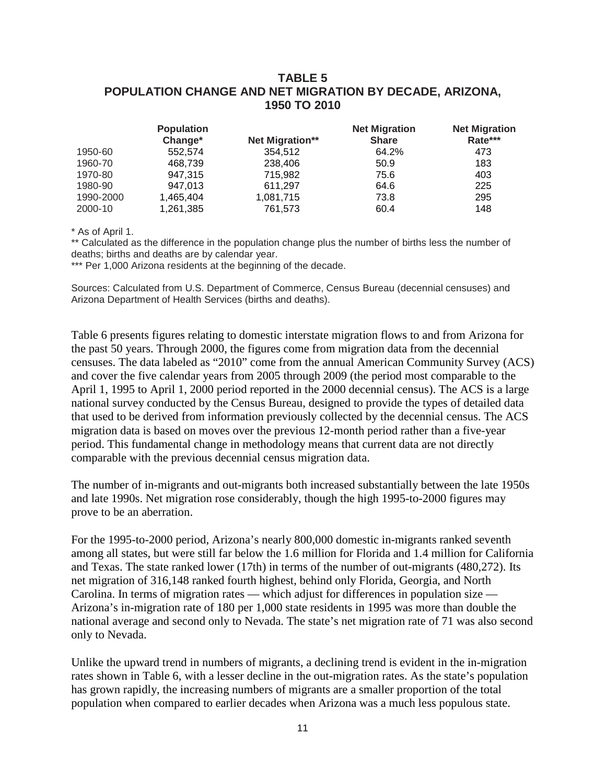# **TABLE 5 POPULATION CHANGE AND NET MIGRATION BY DECADE, ARIZONA, 1950 TO 2010**

|           | <b>Population</b><br>Change* | Net Migration** | <b>Net Migration</b><br><b>Share</b> | <b>Net Migration</b><br>Rate*** |
|-----------|------------------------------|-----------------|--------------------------------------|---------------------------------|
| 1950-60   | 552.574                      | 354,512         | 64.2%                                | 473                             |
| 1960-70   | 468.739                      | 238,406         | 50.9                                 | 183                             |
| 1970-80   | 947,315                      | 715.982         | 75.6                                 | 403                             |
| 1980-90   | 947,013                      | 611,297         | 64.6                                 | 225                             |
| 1990-2000 | 1.465.404                    | 1.081.715       | 73.8                                 | 295                             |
| 2000-10   | 1,261,385                    | 761,573         | 60.4                                 | 148                             |

\* As of April 1.

\*\* Calculated as the difference in the population change plus the number of births less the number of deaths; births and deaths are by calendar year.

\*\*\* Per 1,000 Arizona residents at the beginning of the decade.

Sources: Calculated from U.S. Department of Commerce, Census Bureau (decennial censuses) and Arizona Department of Health Services (births and deaths).

Table 6 presents figures relating to domestic interstate migration flows to and from Arizona for the past 50 years. Through 2000, the figures come from migration data from the decennial censuses. The data labeled as "2010" come from the annual American Community Survey (ACS) and cover the five calendar years from 2005 through 2009 (the period most comparable to the April 1, 1995 to April 1, 2000 period reported in the 2000 decennial census). The ACS is a large national survey conducted by the Census Bureau, designed to provide the types of detailed data that used to be derived from information previously collected by the decennial census. The ACS migration data is based on moves over the previous 12-month period rather than a five-year period. This fundamental change in methodology means that current data are not directly comparable with the previous decennial census migration data.

The number of in-migrants and out-migrants both increased substantially between the late 1950s and late 1990s. Net migration rose considerably, though the high 1995-to-2000 figures may prove to be an aberration.

For the 1995-to-2000 period, Arizona's nearly 800,000 domestic in-migrants ranked seventh among all states, but were still far below the 1.6 million for Florida and 1.4 million for California and Texas. The state ranked lower (17th) in terms of the number of out-migrants (480,272). Its net migration of 316,148 ranked fourth highest, behind only Florida, Georgia, and North Carolina. In terms of migration rates — which adjust for differences in population size — Arizona's in-migration rate of 180 per 1,000 state residents in 1995 was more than double the national average and second only to Nevada. The state's net migration rate of 71 was also second only to Nevada.

Unlike the upward trend in numbers of migrants, a declining trend is evident in the in-migration rates shown in Table 6, with a lesser decline in the out-migration rates. As the state's population has grown rapidly, the increasing numbers of migrants are a smaller proportion of the total population when compared to earlier decades when Arizona was a much less populous state.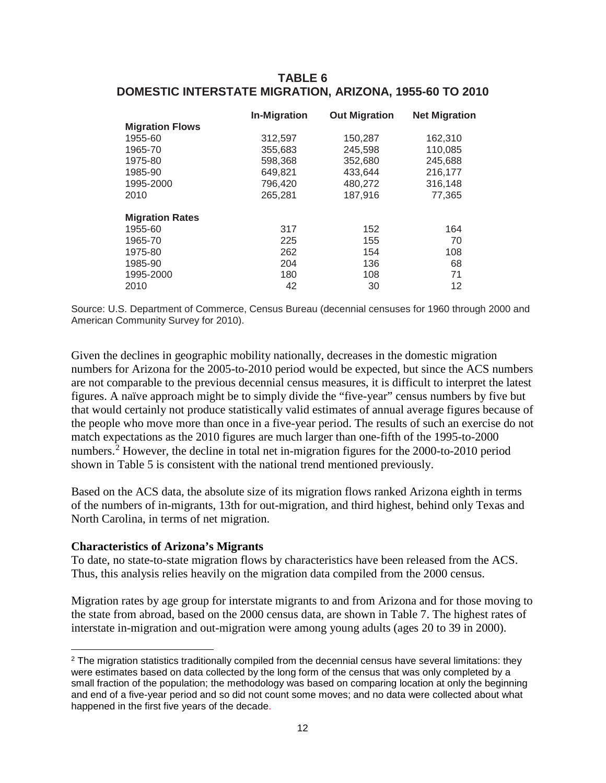# **TABLE 6 DOMESTIC INTERSTATE MIGRATION, ARIZONA, 1955-60 TO 2010**

|                        | <b>In-Migration</b> | <b>Out Migration</b> | <b>Net Migration</b> |
|------------------------|---------------------|----------------------|----------------------|
| <b>Migration Flows</b> |                     |                      |                      |
| 1955-60                | 312,597             | 150,287              | 162,310              |
| 1965-70                | 355,683             | 245,598              | 110,085              |
| 1975-80                | 598,368             | 352,680              | 245,688              |
| 1985-90                | 649,821             | 433.644              | 216,177              |
| 1995-2000              | 796.420             | 480,272              | 316,148              |
| 2010                   | 265,281             | 187,916              | 77,365               |
| <b>Migration Rates</b> |                     |                      |                      |
| 1955-60                | 317                 | 152                  | 164                  |
| 1965-70                | 225                 | 155                  | 70                   |
| 1975-80                | 262                 | 154                  | 108                  |
| 1985-90                | 204                 | 136                  | 68                   |
| 1995-2000              | 180                 | 108                  | 71                   |
| 2010                   | 42                  | 30                   | 12                   |

Source: U.S. Department of Commerce, Census Bureau (decennial censuses for 1960 through 2000 and American Community Survey for 2010).

Given the declines in geographic mobility nationally, decreases in the domestic migration numbers for Arizona for the 2005-to-2010 period would be expected, but since the ACS numbers are not comparable to the previous decennial census measures, it is difficult to interpret the latest figures. A naïve approach might be to simply divide the "five-year" census numbers by five but that would certainly not produce statistically valid estimates of annual average figures because of the people who move more than once in a five-year period. The results of such an exercise do not match expectations as the 2010 figures are much larger than one-fifth of the 1995-to-2000 numbers.<sup>[2](#page-13-0)</sup> However, the decline in total net in-migration figures for the 2000-to-2010 period shown in Table 5 is consistent with the national trend mentioned previously.

Based on the ACS data, the absolute size of its migration flows ranked Arizona eighth in terms of the numbers of in-migrants, 13th for out-migration, and third highest, behind only Texas and North Carolina, in terms of net migration.

### **Characteristics of Arizona's Migrants**

 $\overline{a}$ 

To date, no state-to-state migration flows by characteristics have been released from the ACS. Thus, this analysis relies heavily on the migration data compiled from the 2000 census.

Migration rates by age group for interstate migrants to and from Arizona and for those moving to the state from abroad, based on the 2000 census data, are shown in Table 7. The highest rates of interstate in-migration and out-migration were among young adults (ages 20 to 39 in 2000).

<span id="page-13-0"></span><sup>&</sup>lt;sup>2</sup> The migration statistics traditionally compiled from the decennial census have several limitations: they were estimates based on data collected by the long form of the census that was only completed by a small fraction of the population; the methodology was based on comparing location at only the beginning and end of a five-year period and so did not count some moves; and no data were collected about what happened in the first five years of the decade.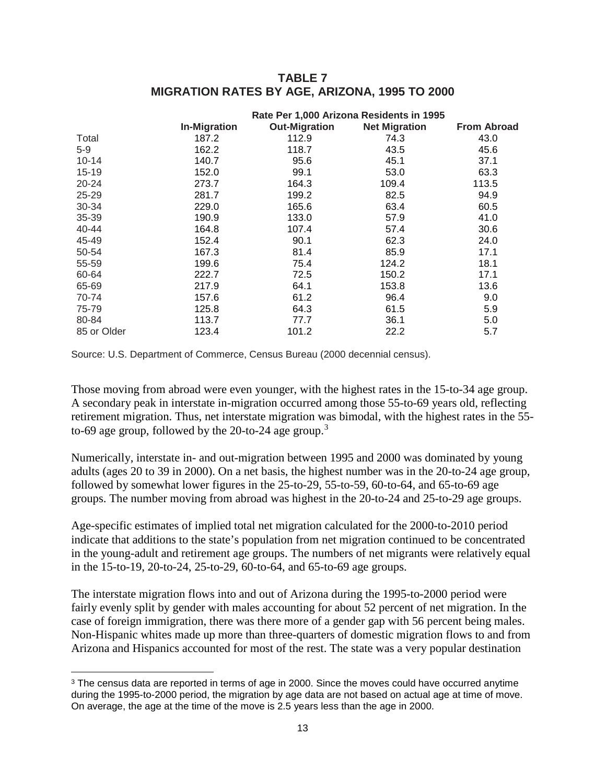| <b>TABLE 7</b>                                |  |  |  |  |  |
|-----------------------------------------------|--|--|--|--|--|
| MIGRATION RATES BY AGE, ARIZONA, 1995 TO 2000 |  |  |  |  |  |

|             | Rate Per 1,000 Arizona Residents in 1995 |                      |                      |                    |  |  |
|-------------|------------------------------------------|----------------------|----------------------|--------------------|--|--|
|             | <b>In-Migration</b>                      | <b>Out-Migration</b> | <b>Net Migration</b> | <b>From Abroad</b> |  |  |
| Total       | 187.2                                    | 112.9                | 74.3                 | 43.0               |  |  |
| $5-9$       | 162.2                                    | 118.7                | 43.5                 | 45.6               |  |  |
| $10 - 14$   | 140.7                                    | 95.6                 | 45.1                 | 37.1               |  |  |
| $15 - 19$   | 152.0                                    | 99.1                 | 53.0                 | 63.3               |  |  |
| 20-24       | 273.7                                    | 164.3                | 109.4                | 113.5              |  |  |
| 25-29       | 281.7                                    | 199.2                | 82.5                 | 94.9               |  |  |
| 30-34       | 229.0                                    | 165.6                | 63.4                 | 60.5               |  |  |
| 35-39       | 190.9                                    | 133.0                | 57.9                 | 41.0               |  |  |
| 40-44       | 164.8                                    | 107.4                | 57.4                 | 30.6               |  |  |
| 45-49       | 152.4                                    | 90.1                 | 62.3                 | 24.0               |  |  |
| 50-54       | 167.3                                    | 81.4                 | 85.9                 | 17.1               |  |  |
| 55-59       | 199.6                                    | 75.4                 | 124.2                | 18.1               |  |  |
| 60-64       | 222.7                                    | 72.5                 | 150.2                | 17.1               |  |  |
| 65-69       | 217.9                                    | 64.1                 | 153.8                | 13.6               |  |  |
| 70-74       | 157.6                                    | 61.2                 | 96.4                 | 9.0                |  |  |
| 75-79       | 125.8                                    | 64.3                 | 61.5                 | 5.9                |  |  |
| 80-84       | 113.7                                    | 77.7                 | 36.1                 | 5.0                |  |  |
| 85 or Older | 123.4                                    | 101.2                | 22.2                 | 5.7                |  |  |

Source: U.S. Department of Commerce, Census Bureau (2000 decennial census).

Those moving from abroad were even younger, with the highest rates in the 15-to-34 age group. A secondary peak in interstate in-migration occurred among those 55-to-69 years old, reflecting retirement migration. Thus, net interstate migration was bimodal, with the highest rates in the 55 to-69 age group, followed by the  $20$ -to-24 age group.<sup>[3](#page-14-0)</sup>

Numerically, interstate in- and out-migration between 1995 and 2000 was dominated by young adults (ages 20 to 39 in 2000). On a net basis, the highest number was in the 20-to-24 age group, followed by somewhat lower figures in the 25-to-29, 55-to-59, 60-to-64, and 65-to-69 age groups. The number moving from abroad was highest in the 20-to-24 and 25-to-29 age groups.

Age-specific estimates of implied total net migration calculated for the 2000-to-2010 period indicate that additions to the state's population from net migration continued to be concentrated in the young-adult and retirement age groups. The numbers of net migrants were relatively equal in the 15-to-19, 20-to-24, 25-to-29, 60-to-64, and 65-to-69 age groups.

The interstate migration flows into and out of Arizona during the 1995-to-2000 period were fairly evenly split by gender with males accounting for about 52 percent of net migration. In the case of foreign immigration, there was there more of a gender gap with 56 percent being males. Non-Hispanic whites made up more than three-quarters of domestic migration flows to and from Arizona and Hispanics accounted for most of the rest. The state was a very popular destination

<span id="page-14-0"></span><sup>&</sup>lt;sup>3</sup> The census data are reported in terms of age in 2000. Since the moves could have occurred anytime during the 1995-to-2000 period, the migration by age data are not based on actual age at time of move. On average, the age at the time of the move is 2.5 years less than the age in 2000.  $\overline{a}$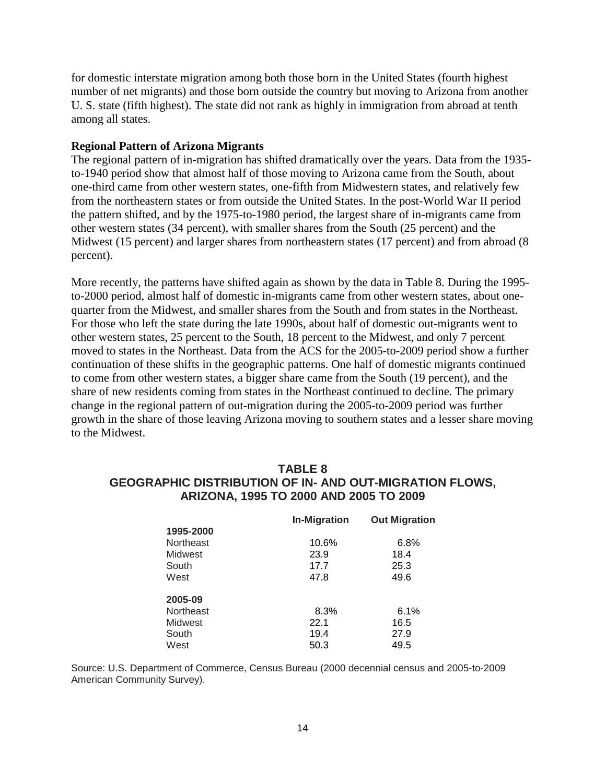for domestic interstate migration among both those born in the United States (fourth highest number of net migrants) and those born outside the country but moving to Arizona from another U. S. state (fifth highest). The state did not rank as highly in immigration from abroad at tenth among all states.

### **Regional Pattern of Arizona Migrants**

The regional pattern of in-migration has shifted dramatically over the years. Data from the 1935 to-1940 period show that almost half of those moving to Arizona came from the South, about one-third came from other western states, one-fifth from Midwestern states, and relatively few from the northeastern states or from outside the United States. In the post-World War II period the pattern shifted, and by the 1975-to-1980 period, the largest share of in-migrants came from other western states (34 percent), with smaller shares from the South (25 percent) and the Midwest (15 percent) and larger shares from northeastern states (17 percent) and from abroad (8 percent).

More recently, the patterns have shifted again as shown by the data in Table 8. During the 1995 to-2000 period, almost half of domestic in-migrants came from other western states, about onequarter from the Midwest, and smaller shares from the South and from states in the Northeast. For those who left the state during the late 1990s, about half of domestic out-migrants went to other western states, 25 percent to the South, 18 percent to the Midwest, and only 7 percent moved to states in the Northeast. Data from the ACS for the 2005-to-2009 period show a further continuation of these shifts in the geographic patterns. One half of domestic migrants continued to come from other western states, a bigger share came from the South (19 percent), and the share of new residents coming from states in the Northeast continued to decline. The primary change in the regional pattern of out-migration during the 2005-to-2009 period was further growth in the share of those leaving Arizona moving to southern states and a lesser share moving to the Midwest.

# **TABLE 8 GEOGRAPHIC DISTRIBUTION OF IN- AND OUT-MIGRATION FLOWS, ARIZONA, 1995 TO 2000 AND 2005 TO 2009**

|                  | <b>In-Migration</b> | <b>Out Migration</b> |
|------------------|---------------------|----------------------|
| 1995-2000        |                     |                      |
| <b>Northeast</b> | 10.6%               | 6.8%                 |
| <b>Midwest</b>   | 23.9                | 18.4                 |
| South            | 17.7                | 25.3                 |
| West             | 47.8                | 49.6                 |
| 2005-09          |                     |                      |
| <b>Northeast</b> | 8.3%                | 6.1%                 |
| Midwest          | 22.1                |                      |
|                  |                     | 16.5                 |
| South            | 19.4                | 27.9                 |
| West             | 50.3                | 49.5                 |

Source: U.S. Department of Commerce, Census Bureau (2000 decennial census and 2005-to-2009 American Community Survey).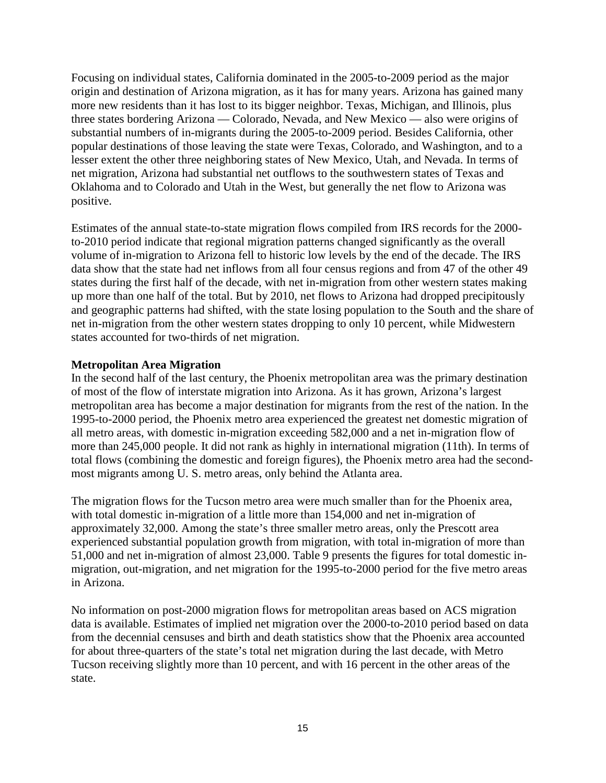Focusing on individual states, California dominated in the 2005-to-2009 period as the major origin and destination of Arizona migration, as it has for many years. Arizona has gained many more new residents than it has lost to its bigger neighbor. Texas, Michigan, and Illinois, plus three states bordering Arizona — Colorado, Nevada, and New Mexico — also were origins of substantial numbers of in-migrants during the 2005-to-2009 period. Besides California, other popular destinations of those leaving the state were Texas, Colorado, and Washington, and to a lesser extent the other three neighboring states of New Mexico, Utah, and Nevada. In terms of net migration, Arizona had substantial net outflows to the southwestern states of Texas and Oklahoma and to Colorado and Utah in the West, but generally the net flow to Arizona was positive.

Estimates of the annual state-to-state migration flows compiled from IRS records for the 2000 to-2010 period indicate that regional migration patterns changed significantly as the overall volume of in-migration to Arizona fell to historic low levels by the end of the decade. The IRS data show that the state had net inflows from all four census regions and from 47 of the other 49 states during the first half of the decade, with net in-migration from other western states making up more than one half of the total. But by 2010, net flows to Arizona had dropped precipitously and geographic patterns had shifted, with the state losing population to the South and the share of net in-migration from the other western states dropping to only 10 percent, while Midwestern states accounted for two-thirds of net migration.

# **Metropolitan Area Migration**

In the second half of the last century, the Phoenix metropolitan area was the primary destination of most of the flow of interstate migration into Arizona. As it has grown, Arizona's largest metropolitan area has become a major destination for migrants from the rest of the nation. In the 1995-to-2000 period, the Phoenix metro area experienced the greatest net domestic migration of all metro areas, with domestic in-migration exceeding 582,000 and a net in-migration flow of more than 245,000 people. It did not rank as highly in international migration (11th). In terms of total flows (combining the domestic and foreign figures), the Phoenix metro area had the secondmost migrants among U. S. metro areas, only behind the Atlanta area.

The migration flows for the Tucson metro area were much smaller than for the Phoenix area, with total domestic in-migration of a little more than 154,000 and net in-migration of approximately 32,000. Among the state's three smaller metro areas, only the Prescott area experienced substantial population growth from migration, with total in-migration of more than 51,000 and net in-migration of almost 23,000. Table 9 presents the figures for total domestic inmigration, out-migration, and net migration for the 1995-to-2000 period for the five metro areas in Arizona.

No information on post-2000 migration flows for metropolitan areas based on ACS migration data is available. Estimates of implied net migration over the 2000-to-2010 period based on data from the decennial censuses and birth and death statistics show that the Phoenix area accounted for about three-quarters of the state's total net migration during the last decade, with Metro Tucson receiving slightly more than 10 percent, and with 16 percent in the other areas of the state.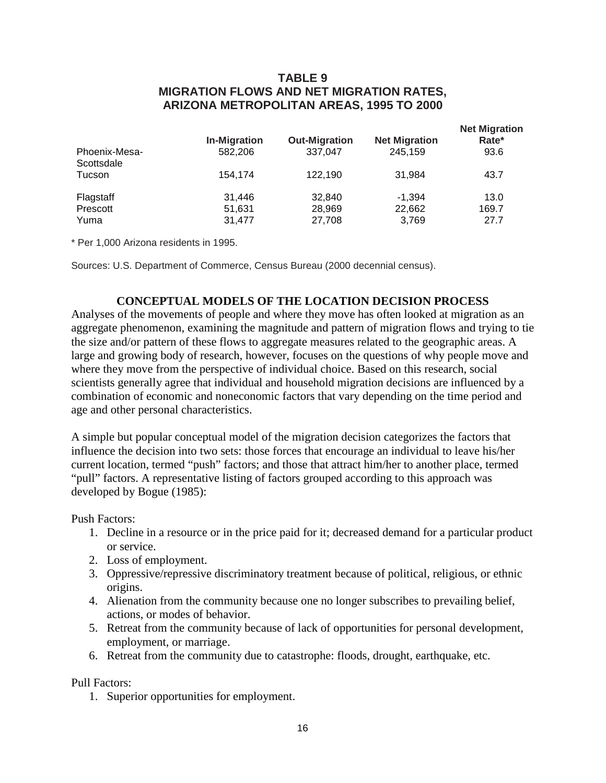# **TABLE 9 MIGRATION FLOWS AND NET MIGRATION RATES, ARIZONA METROPOLITAN AREAS, 1995 TO 2000**

| Phoenix-Mesa- | <b>In-Migration</b><br>582,206 | <b>Out-Migration</b><br>337.047 | <b>Net Migration</b><br>245.159 | <b>Net Migration</b><br>Rate*<br>93.6 |
|---------------|--------------------------------|---------------------------------|---------------------------------|---------------------------------------|
| Scottsdale    |                                |                                 |                                 |                                       |
| Tucson        | 154.174                        | 122.190                         | 31.984                          | 43.7                                  |
| Flagstaff     | 31.446                         | 32,840                          | $-1.394$                        | 13.0                                  |
| Prescott      | 51,631                         | 28,969                          | 22,662                          | 169.7                                 |
| Yuma          | 31.477                         | 27.708                          | 3.769                           | 27.7                                  |

\* Per 1,000 Arizona residents in 1995.

Sources: U.S. Department of Commerce, Census Bureau (2000 decennial census).

# **CONCEPTUAL MODELS OF THE LOCATION DECISION PROCESS**

Analyses of the movements of people and where they move has often looked at migration as an aggregate phenomenon, examining the magnitude and pattern of migration flows and trying to tie the size and/or pattern of these flows to aggregate measures related to the geographic areas. A large and growing body of research, however, focuses on the questions of why people move and where they move from the perspective of individual choice. Based on this research, social scientists generally agree that individual and household migration decisions are influenced by a combination of economic and noneconomic factors that vary depending on the time period and age and other personal characteristics.

A simple but popular conceptual model of the migration decision categorizes the factors that influence the decision into two sets: those forces that encourage an individual to leave his/her current location, termed "push" factors; and those that attract him/her to another place, termed "pull" factors. A representative listing of factors grouped according to this approach was developed by Bogue (1985):

Push Factors:

- 1. Decline in a resource or in the price paid for it; decreased demand for a particular product or service.
- 2. Loss of employment.
- 3. Oppressive/repressive discriminatory treatment because of political, religious, or ethnic origins.
- 4. Alienation from the community because one no longer subscribes to prevailing belief, actions, or modes of behavior.
- 5. Retreat from the community because of lack of opportunities for personal development, employment, or marriage.
- 6. Retreat from the community due to catastrophe: floods, drought, earthquake, etc.

Pull Factors:

1. Superior opportunities for employment.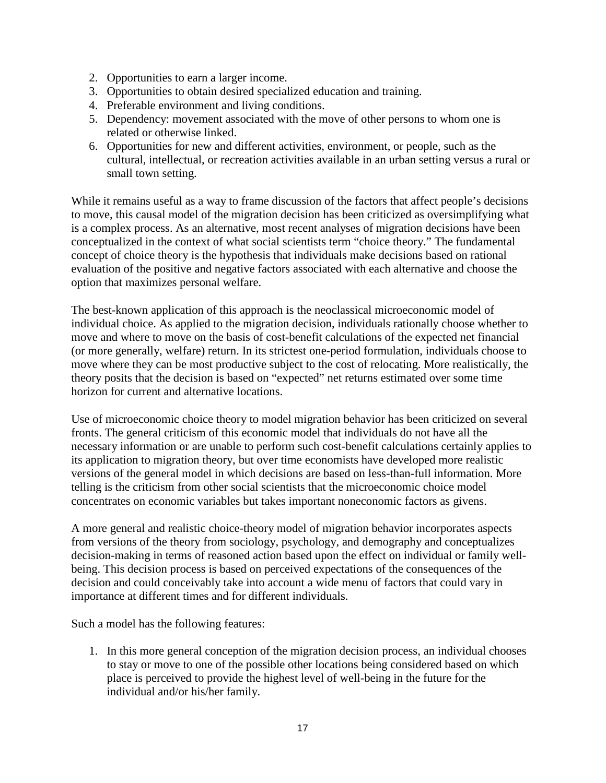- 2. Opportunities to earn a larger income.
- 3. Opportunities to obtain desired specialized education and training.
- 4. Preferable environment and living conditions.
- 5. Dependency: movement associated with the move of other persons to whom one is related or otherwise linked.
- 6. Opportunities for new and different activities, environment, or people, such as the cultural, intellectual, or recreation activities available in an urban setting versus a rural or small town setting.

While it remains useful as a way to frame discussion of the factors that affect people's decisions to move, this causal model of the migration decision has been criticized as oversimplifying what is a complex process. As an alternative, most recent analyses of migration decisions have been conceptualized in the context of what social scientists term "choice theory." The fundamental concept of choice theory is the hypothesis that individuals make decisions based on rational evaluation of the positive and negative factors associated with each alternative and choose the option that maximizes personal welfare.

The best-known application of this approach is the neoclassical microeconomic model of individual choice. As applied to the migration decision, individuals rationally choose whether to move and where to move on the basis of cost-benefit calculations of the expected net financial (or more generally, welfare) return. In its strictest one-period formulation, individuals choose to move where they can be most productive subject to the cost of relocating. More realistically, the theory posits that the decision is based on "expected" net returns estimated over some time horizon for current and alternative locations.

Use of microeconomic choice theory to model migration behavior has been criticized on several fronts. The general criticism of this economic model that individuals do not have all the necessary information or are unable to perform such cost-benefit calculations certainly applies to its application to migration theory, but over time economists have developed more realistic versions of the general model in which decisions are based on less-than-full information. More telling is the criticism from other social scientists that the microeconomic choice model concentrates on economic variables but takes important noneconomic factors as givens.

A more general and realistic choice-theory model of migration behavior incorporates aspects from versions of the theory from sociology, psychology, and demography and conceptualizes decision-making in terms of reasoned action based upon the effect on individual or family wellbeing. This decision process is based on perceived expectations of the consequences of the decision and could conceivably take into account a wide menu of factors that could vary in importance at different times and for different individuals.

Such a model has the following features:

1. In this more general conception of the migration decision process, an individual chooses to stay or move to one of the possible other locations being considered based on which place is perceived to provide the highest level of well-being in the future for the individual and/or his/her family.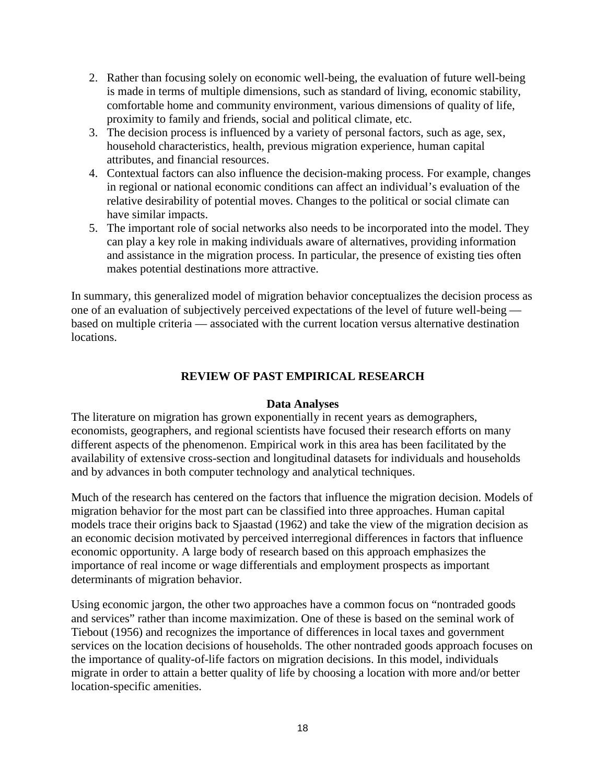- 2. Rather than focusing solely on economic well-being, the evaluation of future well-being is made in terms of multiple dimensions, such as standard of living, economic stability, comfortable home and community environment, various dimensions of quality of life, proximity to family and friends, social and political climate, etc.
- 3. The decision process is influenced by a variety of personal factors, such as age, sex, household characteristics, health, previous migration experience, human capital attributes, and financial resources.
- 4. Contextual factors can also influence the decision-making process. For example, changes in regional or national economic conditions can affect an individual's evaluation of the relative desirability of potential moves. Changes to the political or social climate can have similar impacts.
- 5. The important role of social networks also needs to be incorporated into the model. They can play a key role in making individuals aware of alternatives, providing information and assistance in the migration process. In particular, the presence of existing ties often makes potential destinations more attractive.

In summary, this generalized model of migration behavior conceptualizes the decision process as one of an evaluation of subjectively perceived expectations of the level of future well-being based on multiple criteria — associated with the current location versus alternative destination locations.

# **REVIEW OF PAST EMPIRICAL RESEARCH**

# **Data Analyses**

The literature on migration has grown exponentially in recent years as demographers, economists, geographers, and regional scientists have focused their research efforts on many different aspects of the phenomenon. Empirical work in this area has been facilitated by the availability of extensive cross-section and longitudinal datasets for individuals and households and by advances in both computer technology and analytical techniques.

Much of the research has centered on the factors that influence the migration decision. Models of migration behavior for the most part can be classified into three approaches. Human capital models trace their origins back to Sjaastad (1962) and take the view of the migration decision as an economic decision motivated by perceived interregional differences in factors that influence economic opportunity. A large body of research based on this approach emphasizes the importance of real income or wage differentials and employment prospects as important determinants of migration behavior.

Using economic jargon, the other two approaches have a common focus on "nontraded goods and services" rather than income maximization. One of these is based on the seminal work of Tiebout (1956) and recognizes the importance of differences in local taxes and government services on the location decisions of households. The other nontraded goods approach focuses on the importance of quality-of-life factors on migration decisions. In this model, individuals migrate in order to attain a better quality of life by choosing a location with more and/or better location-specific amenities.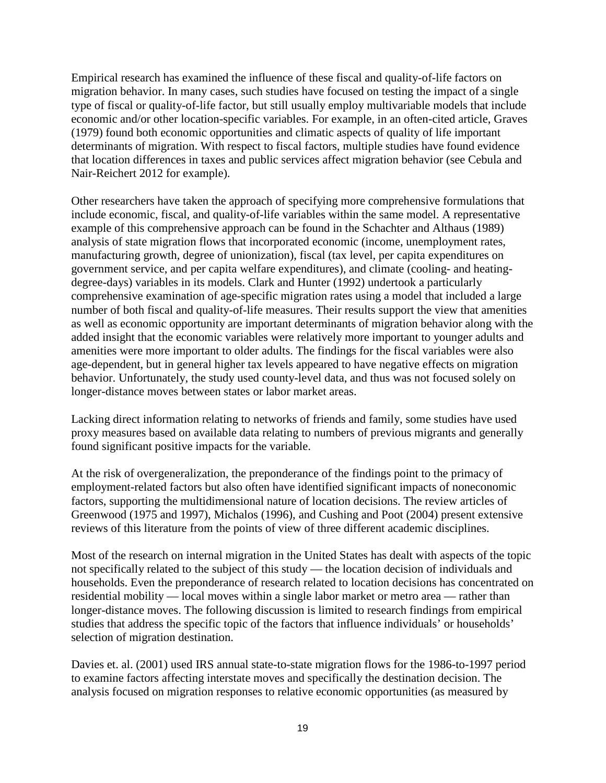Empirical research has examined the influence of these fiscal and quality-of-life factors on migration behavior. In many cases, such studies have focused on testing the impact of a single type of fiscal or quality-of-life factor, but still usually employ multivariable models that include economic and/or other location-specific variables. For example, in an often-cited article, Graves (1979) found both economic opportunities and climatic aspects of quality of life important determinants of migration. With respect to fiscal factors, multiple studies have found evidence that location differences in taxes and public services affect migration behavior (see Cebula and Nair-Reichert 2012 for example).

Other researchers have taken the approach of specifying more comprehensive formulations that include economic, fiscal, and quality-of-life variables within the same model. A representative example of this comprehensive approach can be found in the Schachter and Althaus (1989) analysis of state migration flows that incorporated economic (income, unemployment rates, manufacturing growth, degree of unionization), fiscal (tax level, per capita expenditures on government service, and per capita welfare expenditures), and climate (cooling- and heatingdegree-days) variables in its models. Clark and Hunter (1992) undertook a particularly comprehensive examination of age-specific migration rates using a model that included a large number of both fiscal and quality-of-life measures. Their results support the view that amenities as well as economic opportunity are important determinants of migration behavior along with the added insight that the economic variables were relatively more important to younger adults and amenities were more important to older adults. The findings for the fiscal variables were also age-dependent, but in general higher tax levels appeared to have negative effects on migration behavior. Unfortunately, the study used county-level data, and thus was not focused solely on longer-distance moves between states or labor market areas.

Lacking direct information relating to networks of friends and family, some studies have used proxy measures based on available data relating to numbers of previous migrants and generally found significant positive impacts for the variable.

At the risk of overgeneralization, the preponderance of the findings point to the primacy of employment-related factors but also often have identified significant impacts of noneconomic factors, supporting the multidimensional nature of location decisions. The review articles of Greenwood (1975 and 1997), Michalos (1996), and Cushing and Poot (2004) present extensive reviews of this literature from the points of view of three different academic disciplines.

Most of the research on internal migration in the United States has dealt with aspects of the topic not specifically related to the subject of this study — the location decision of individuals and households. Even the preponderance of research related to location decisions has concentrated on residential mobility — local moves within a single labor market or metro area — rather than longer-distance moves. The following discussion is limited to research findings from empirical studies that address the specific topic of the factors that influence individuals' or households' selection of migration destination.

Davies et. al. (2001) used IRS annual state-to-state migration flows for the 1986-to-1997 period to examine factors affecting interstate moves and specifically the destination decision. The analysis focused on migration responses to relative economic opportunities (as measured by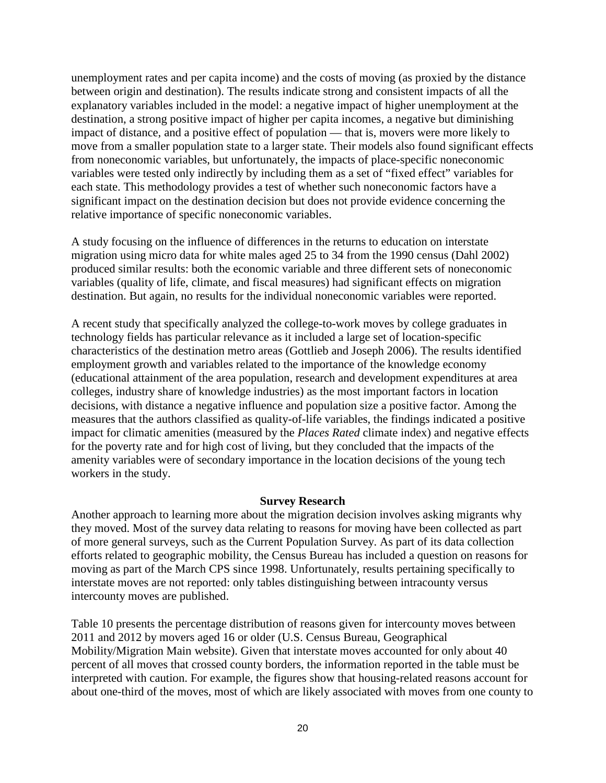unemployment rates and per capita income) and the costs of moving (as proxied by the distance between origin and destination). The results indicate strong and consistent impacts of all the explanatory variables included in the model: a negative impact of higher unemployment at the destination, a strong positive impact of higher per capita incomes, a negative but diminishing impact of distance, and a positive effect of population — that is, movers were more likely to move from a smaller population state to a larger state. Their models also found significant effects from noneconomic variables, but unfortunately, the impacts of place-specific noneconomic variables were tested only indirectly by including them as a set of "fixed effect" variables for each state. This methodology provides a test of whether such noneconomic factors have a significant impact on the destination decision but does not provide evidence concerning the relative importance of specific noneconomic variables.

A study focusing on the influence of differences in the returns to education on interstate migration using micro data for white males aged 25 to 34 from the 1990 census (Dahl 2002) produced similar results: both the economic variable and three different sets of noneconomic variables (quality of life, climate, and fiscal measures) had significant effects on migration destination. But again, no results for the individual noneconomic variables were reported.

A recent study that specifically analyzed the college-to-work moves by college graduates in technology fields has particular relevance as it included a large set of location-specific characteristics of the destination metro areas (Gottlieb and Joseph 2006). The results identified employment growth and variables related to the importance of the knowledge economy (educational attainment of the area population, research and development expenditures at area colleges, industry share of knowledge industries) as the most important factors in location decisions, with distance a negative influence and population size a positive factor. Among the measures that the authors classified as quality-of-life variables, the findings indicated a positive impact for climatic amenities (measured by the *Places Rated* climate index) and negative effects for the poverty rate and for high cost of living, but they concluded that the impacts of the amenity variables were of secondary importance in the location decisions of the young tech workers in the study.

### **Survey Research**

Another approach to learning more about the migration decision involves asking migrants why they moved. Most of the survey data relating to reasons for moving have been collected as part of more general surveys, such as the Current Population Survey. As part of its data collection efforts related to geographic mobility, the Census Bureau has included a question on reasons for moving as part of the March CPS since 1998. Unfortunately, results pertaining specifically to interstate moves are not reported: only tables distinguishing between intracounty versus intercounty moves are published.

Table 10 presents the percentage distribution of reasons given for intercounty moves between 2011 and 2012 by movers aged 16 or older (U.S. Census Bureau, Geographical Mobility/Migration Main website). Given that interstate moves accounted for only about 40 percent of all moves that crossed county borders, the information reported in the table must be interpreted with caution. For example, the figures show that housing-related reasons account for about one-third of the moves, most of which are likely associated with moves from one county to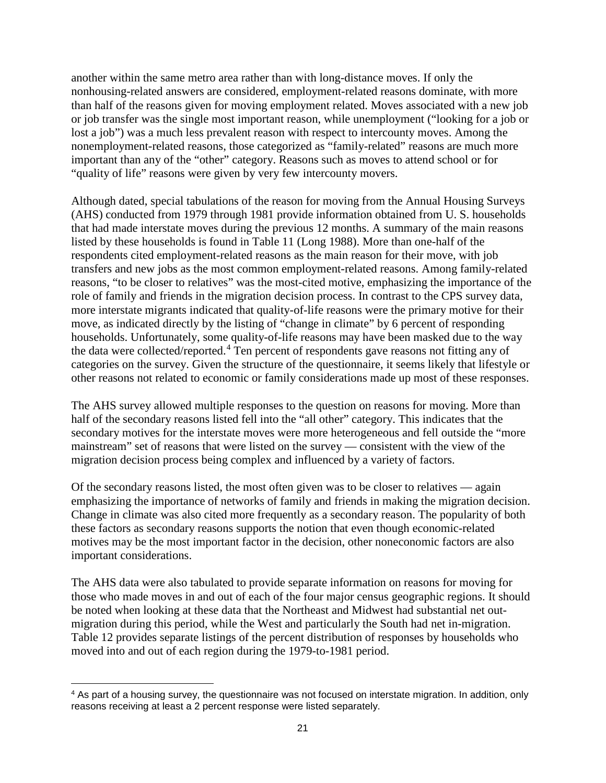another within the same metro area rather than with long-distance moves. If only the nonhousing-related answers are considered, employment-related reasons dominate, with more than half of the reasons given for moving employment related. Moves associated with a new job or job transfer was the single most important reason, while unemployment ("looking for a job or lost a job") was a much less prevalent reason with respect to intercounty moves. Among the nonemployment-related reasons, those categorized as "family-related" reasons are much more important than any of the "other" category. Reasons such as moves to attend school or for "quality of life" reasons were given by very few intercounty movers.

Although dated, special tabulations of the reason for moving from the Annual Housing Surveys (AHS) conducted from 1979 through 1981 provide information obtained from U. S. households that had made interstate moves during the previous 12 months. A summary of the main reasons listed by these households is found in Table 11 (Long 1988). More than one-half of the respondents cited employment-related reasons as the main reason for their move, with job transfers and new jobs as the most common employment-related reasons. Among family-related reasons, "to be closer to relatives" was the most-cited motive, emphasizing the importance of the role of family and friends in the migration decision process. In contrast to the CPS survey data, more interstate migrants indicated that quality-of-life reasons were the primary motive for their move, as indicated directly by the listing of "change in climate" by 6 percent of responding households. Unfortunately, some quality-of-life reasons may have been masked due to the way the data were collected/reported.[4](#page-22-0) Ten percent of respondents gave reasons not fitting any of categories on the survey. Given the structure of the questionnaire, it seems likely that lifestyle or other reasons not related to economic or family considerations made up most of these responses.

The AHS survey allowed multiple responses to the question on reasons for moving. More than half of the secondary reasons listed fell into the "all other" category. This indicates that the secondary motives for the interstate moves were more heterogeneous and fell outside the "more mainstream" set of reasons that were listed on the survey — consistent with the view of the migration decision process being complex and influenced by a variety of factors.

Of the secondary reasons listed, the most often given was to be closer to relatives — again emphasizing the importance of networks of family and friends in making the migration decision. Change in climate was also cited more frequently as a secondary reason. The popularity of both these factors as secondary reasons supports the notion that even though economic-related motives may be the most important factor in the decision, other noneconomic factors are also important considerations.

The AHS data were also tabulated to provide separate information on reasons for moving for those who made moves in and out of each of the four major census geographic regions. It should be noted when looking at these data that the Northeast and Midwest had substantial net outmigration during this period, while the West and particularly the South had net in-migration. Table 12 provides separate listings of the percent distribution of responses by households who moved into and out of each region during the 1979-to-1981 period.

<span id="page-22-0"></span><sup>4</sup> As part of a housing survey, the questionnaire was not focused on interstate migration. In addition, only reasons receiving at least a 2 percent response were listed separately.  $\overline{a}$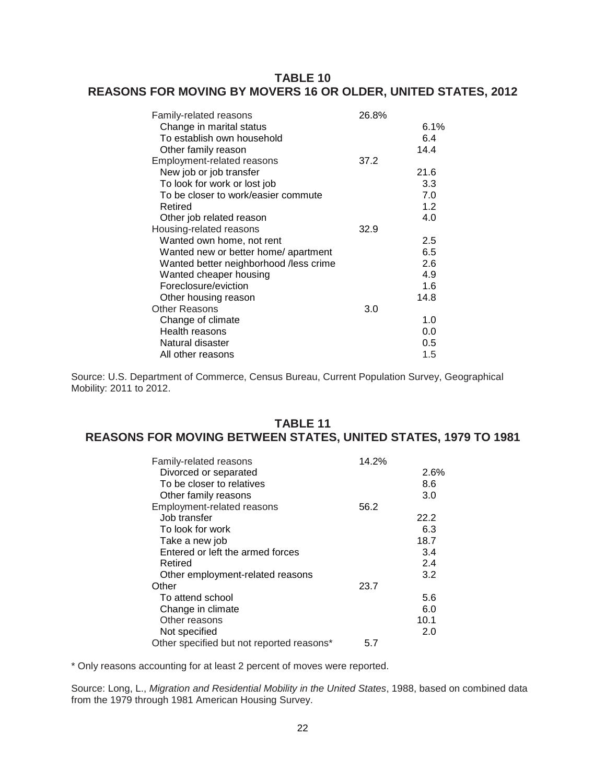# **TABLE 10 REASONS FOR MOVING BY MOVERS 16 OR OLDER, UNITED STATES, 2012**

| 6.1%<br>6.4<br>14.4<br>21.6 |
|-----------------------------|
|                             |
|                             |
|                             |
|                             |
|                             |
| 3.3                         |
| 7.0                         |
| 1.2                         |
| 4.0                         |
|                             |
| 2.5                         |
| 6.5                         |
| 2.6                         |
| 4.9                         |
| 1.6                         |
| 14.8                        |
|                             |
| 1.0                         |
| 0.0                         |
| 0.5                         |
| 1.5                         |
|                             |

Source: U.S. Department of Commerce, Census Bureau, Current Population Survey, Geographical Mobility: 2011 to 2012.

# **TABLE 11 REASONS FOR MOVING BETWEEN STATES, UNITED STATES, 1979 TO 1981**

| Family-related reasons                    | 14.2% |      |
|-------------------------------------------|-------|------|
| Divorced or separated                     |       | 2.6% |
| To be closer to relatives                 |       | 8.6  |
| Other family reasons                      |       | 3.0  |
| <b>Employment-related reasons</b>         | 56.2  |      |
| Job transfer                              |       | 22.2 |
| To look for work                          |       | 6.3  |
| Take a new job                            |       | 18.7 |
| Entered or left the armed forces          |       | 3.4  |
| Retired                                   |       | 2.4  |
| Other employment-related reasons          |       | 3.2  |
| Other                                     | 23.7  |      |
| To attend school                          |       | 5.6  |
| Change in climate                         |       | 6.0  |
| Other reasons                             |       | 10.1 |
| Not specified                             |       | 2.0  |
| Other specified but not reported reasons* | 5.7   |      |

\* Only reasons accounting for at least 2 percent of moves were reported.

Source: Long, L., *Migration and Residential Mobility in the United States*, 1988, based on combined data from the 1979 through 1981 American Housing Survey.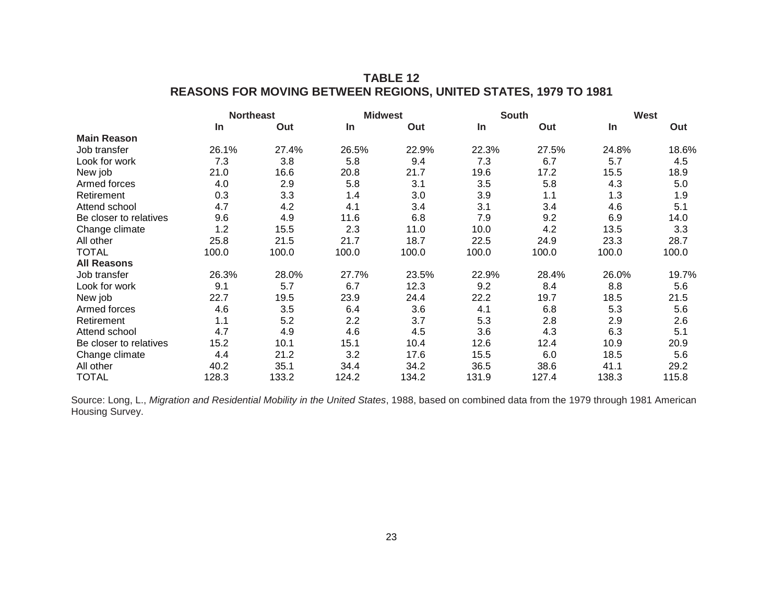# **TABLE 12 REASONS FOR MOVING BETWEEN REGIONS, UNITED STATES, 1979 TO 1981**

|                        |           | <b>Northeast</b> |           | <b>Midwest</b> |           | <b>South</b> |           | West  |
|------------------------|-----------|------------------|-----------|----------------|-----------|--------------|-----------|-------|
|                        | <b>In</b> | Out              | <b>In</b> | Out            | <b>In</b> | Out          | <b>In</b> | Out   |
| <b>Main Reason</b>     |           |                  |           |                |           |              |           |       |
| Job transfer           | 26.1%     | 27.4%            | 26.5%     | 22.9%          | 22.3%     | 27.5%        | 24.8%     | 18.6% |
| Look for work          | 7.3       | 3.8              | 5.8       | 9.4            | 7.3       | 6.7          | 5.7       | 4.5   |
| New job                | 21.0      | 16.6             | 20.8      | 21.7           | 19.6      | 17.2         | 15.5      | 18.9  |
| Armed forces           | 4.0       | 2.9              | 5.8       | 3.1            | 3.5       | 5.8          | 4.3       | 5.0   |
| Retirement             | 0.3       | 3.3              | 1.4       | 3.0            | 3.9       | 1.1          | 1.3       | 1.9   |
| Attend school          | 4.7       | 4.2              | 4.1       | 3.4            | 3.1       | 3.4          | 4.6       | 5.1   |
| Be closer to relatives | 9.6       | 4.9              | 11.6      | 6.8            | 7.9       | 9.2          | 6.9       | 14.0  |
| Change climate         | 1.2       | 15.5             | 2.3       | 11.0           | 10.0      | 4.2          | 13.5      | 3.3   |
| All other              | 25.8      | 21.5             | 21.7      | 18.7           | 22.5      | 24.9         | 23.3      | 28.7  |
| TOTAL                  | 100.0     | 100.0            | 100.0     | 100.0          | 100.0     | 100.0        | 100.0     | 100.0 |
| <b>All Reasons</b>     |           |                  |           |                |           |              |           |       |
| Job transfer           | 26.3%     | 28.0%            | 27.7%     | 23.5%          | 22.9%     | 28.4%        | 26.0%     | 19.7% |
| Look for work          | 9.1       | 5.7              | 6.7       | 12.3           | 9.2       | 8.4          | 8.8       | 5.6   |
| New job                | 22.7      | 19.5             | 23.9      | 24.4           | 22.2      | 19.7         | 18.5      | 21.5  |
| Armed forces           | 4.6       | 3.5              | 6.4       | 3.6            | 4.1       | 6.8          | 5.3       | 5.6   |
| Retirement             | 1.1       | 5.2              | 2.2       | 3.7            | 5.3       | 2.8          | 2.9       | 2.6   |
| Attend school          | 4.7       | 4.9              | 4.6       | 4.5            | 3.6       | 4.3          | 6.3       | 5.1   |
| Be closer to relatives | 15.2      | 10.1             | 15.1      | 10.4           | 12.6      | 12.4         | 10.9      | 20.9  |
| Change climate         | 4.4       | 21.2             | 3.2       | 17.6           | 15.5      | 6.0          | 18.5      | 5.6   |
| All other              | 40.2      | 35.1             | 34.4      | 34.2           | 36.5      | 38.6         | 41.1      | 29.2  |
| <b>TOTAL</b>           | 128.3     | 133.2            | 124.2     | 134.2          | 131.9     | 127.4        | 138.3     | 115.8 |

Source: Long, L., *Migration and Residential Mobility in the United States*, 1988, based on combined data from the 1979 through 1981 American Housing Survey.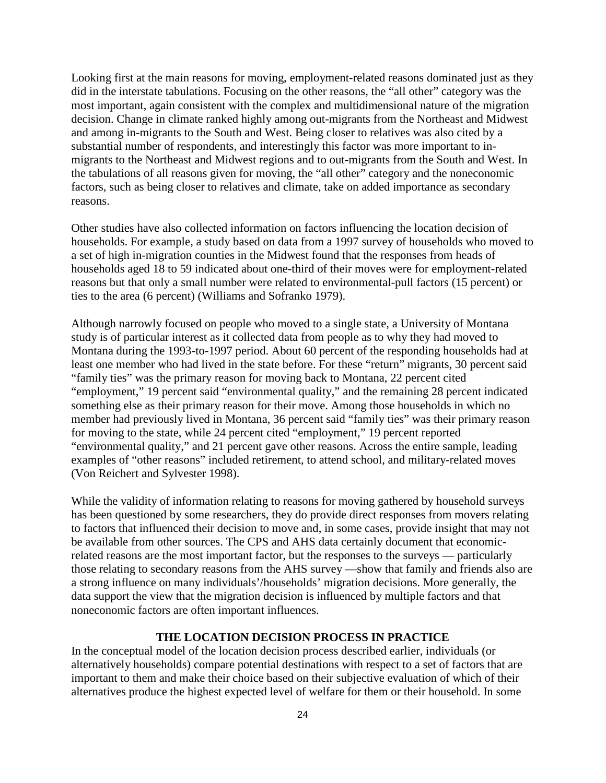Looking first at the main reasons for moving, employment-related reasons dominated just as they did in the interstate tabulations. Focusing on the other reasons, the "all other" category was the most important, again consistent with the complex and multidimensional nature of the migration decision. Change in climate ranked highly among out-migrants from the Northeast and Midwest and among in-migrants to the South and West. Being closer to relatives was also cited by a substantial number of respondents, and interestingly this factor was more important to inmigrants to the Northeast and Midwest regions and to out-migrants from the South and West. In the tabulations of all reasons given for moving, the "all other" category and the noneconomic factors, such as being closer to relatives and climate, take on added importance as secondary reasons.

Other studies have also collected information on factors influencing the location decision of households. For example, a study based on data from a 1997 survey of households who moved to a set of high in-migration counties in the Midwest found that the responses from heads of households aged 18 to 59 indicated about one-third of their moves were for employment-related reasons but that only a small number were related to environmental-pull factors (15 percent) or ties to the area (6 percent) (Williams and Sofranko 1979).

Although narrowly focused on people who moved to a single state, a University of Montana study is of particular interest as it collected data from people as to why they had moved to Montana during the 1993-to-1997 period. About 60 percent of the responding households had at least one member who had lived in the state before. For these "return" migrants, 30 percent said "family ties" was the primary reason for moving back to Montana, 22 percent cited "employment," 19 percent said "environmental quality," and the remaining 28 percent indicated something else as their primary reason for their move. Among those households in which no member had previously lived in Montana, 36 percent said "family ties" was their primary reason for moving to the state, while 24 percent cited "employment," 19 percent reported "environmental quality," and 21 percent gave other reasons. Across the entire sample, leading examples of "other reasons" included retirement, to attend school, and military-related moves (Von Reichert and Sylvester 1998).

While the validity of information relating to reasons for moving gathered by household surveys has been questioned by some researchers, they do provide direct responses from movers relating to factors that influenced their decision to move and, in some cases, provide insight that may not be available from other sources. The CPS and AHS data certainly document that economicrelated reasons are the most important factor, but the responses to the surveys — particularly those relating to secondary reasons from the AHS survey —show that family and friends also are a strong influence on many individuals'/households' migration decisions. More generally, the data support the view that the migration decision is influenced by multiple factors and that noneconomic factors are often important influences.

### **THE LOCATION DECISION PROCESS IN PRACTICE**

In the conceptual model of the location decision process described earlier, individuals (or alternatively households) compare potential destinations with respect to a set of factors that are important to them and make their choice based on their subjective evaluation of which of their alternatives produce the highest expected level of welfare for them or their household. In some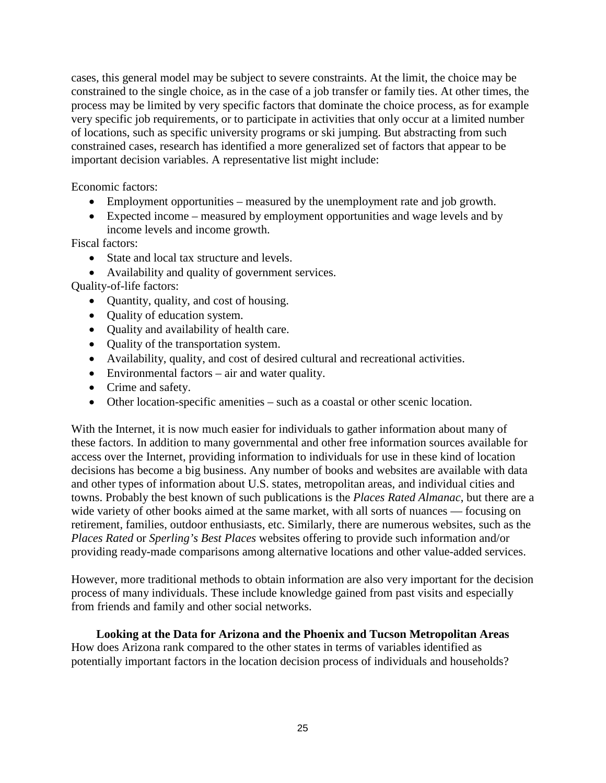cases, this general model may be subject to severe constraints. At the limit, the choice may be constrained to the single choice, as in the case of a job transfer or family ties. At other times, the process may be limited by very specific factors that dominate the choice process, as for example very specific job requirements, or to participate in activities that only occur at a limited number of locations, such as specific university programs or ski jumping. But abstracting from such constrained cases, research has identified a more generalized set of factors that appear to be important decision variables. A representative list might include:

Economic factors:

- Employment opportunities measured by the unemployment rate and job growth.
- Expected income measured by employment opportunities and wage levels and by income levels and income growth.

Fiscal factors:

- State and local tax structure and levels.
- Availability and quality of government services.

Quality-of-life factors:

- Quantity, quality, and cost of housing.
- Quality of education system.
- Quality and availability of health care.
- Ouality of the transportation system.
- Availability, quality, and cost of desired cultural and recreational activities.
- Environmental factors air and water quality.
- Crime and safety.
- Other location-specific amenities such as a coastal or other scenic location.

With the Internet, it is now much easier for individuals to gather information about many of these factors. In addition to many governmental and other free information sources available for access over the Internet, providing information to individuals for use in these kind of location decisions has become a big business. Any number of books and websites are available with data and other types of information about U.S. states, metropolitan areas, and individual cities and towns. Probably the best known of such publications is the *Places Rated Almanac*, but there are a wide variety of other books aimed at the same market, with all sorts of nuances — focusing on retirement, families, outdoor enthusiasts, etc. Similarly, there are numerous websites, such as the *Places Rated* or *Sperling's Best Places* websites offering to provide such information and/or providing ready-made comparisons among alternative locations and other value-added services.

However, more traditional methods to obtain information are also very important for the decision process of many individuals. These include knowledge gained from past visits and especially from friends and family and other social networks.

# **Looking at the Data for Arizona and the Phoenix and Tucson Metropolitan Areas**

How does Arizona rank compared to the other states in terms of variables identified as potentially important factors in the location decision process of individuals and households?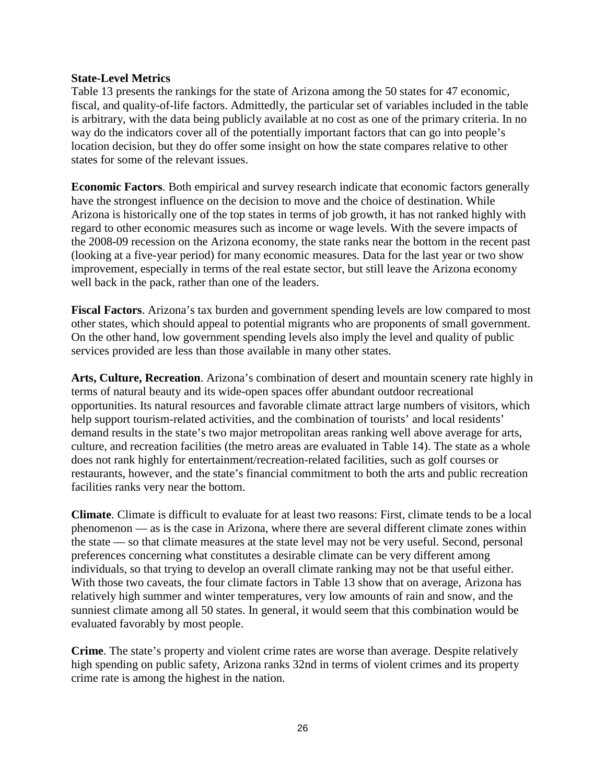### **State-Level Metrics**

Table 13 presents the rankings for the state of Arizona among the 50 states for 47 economic, fiscal, and quality-of-life factors. Admittedly, the particular set of variables included in the table is arbitrary, with the data being publicly available at no cost as one of the primary criteria. In no way do the indicators cover all of the potentially important factors that can go into people's location decision, but they do offer some insight on how the state compares relative to other states for some of the relevant issues.

**Economic Factors**. Both empirical and survey research indicate that economic factors generally have the strongest influence on the decision to move and the choice of destination. While Arizona is historically one of the top states in terms of job growth, it has not ranked highly with regard to other economic measures such as income or wage levels. With the severe impacts of the 2008-09 recession on the Arizona economy, the state ranks near the bottom in the recent past (looking at a five-year period) for many economic measures. Data for the last year or two show improvement, especially in terms of the real estate sector, but still leave the Arizona economy well back in the pack, rather than one of the leaders.

**Fiscal Factors**. Arizona's tax burden and government spending levels are low compared to most other states, which should appeal to potential migrants who are proponents of small government. On the other hand, low government spending levels also imply the level and quality of public services provided are less than those available in many other states.

**Arts, Culture, Recreation**. Arizona's combination of desert and mountain scenery rate highly in terms of natural beauty and its wide-open spaces offer abundant outdoor recreational opportunities. Its natural resources and favorable climate attract large numbers of visitors, which help support tourism-related activities, and the combination of tourists' and local residents' demand results in the state's two major metropolitan areas ranking well above average for arts, culture, and recreation facilities (the metro areas are evaluated in Table 14). The state as a whole does not rank highly for entertainment/recreation-related facilities, such as golf courses or restaurants, however, and the state's financial commitment to both the arts and public recreation facilities ranks very near the bottom.

**Climate**. Climate is difficult to evaluate for at least two reasons: First, climate tends to be a local phenomenon — as is the case in Arizona, where there are several different climate zones within the state — so that climate measures at the state level may not be very useful. Second, personal preferences concerning what constitutes a desirable climate can be very different among individuals, so that trying to develop an overall climate ranking may not be that useful either. With those two caveats, the four climate factors in Table 13 show that on average, Arizona has relatively high summer and winter temperatures, very low amounts of rain and snow, and the sunniest climate among all 50 states. In general, it would seem that this combination would be evaluated favorably by most people.

**Crime**. The state's property and violent crime rates are worse than average. Despite relatively high spending on public safety, Arizona ranks 32nd in terms of violent crimes and its property crime rate is among the highest in the nation.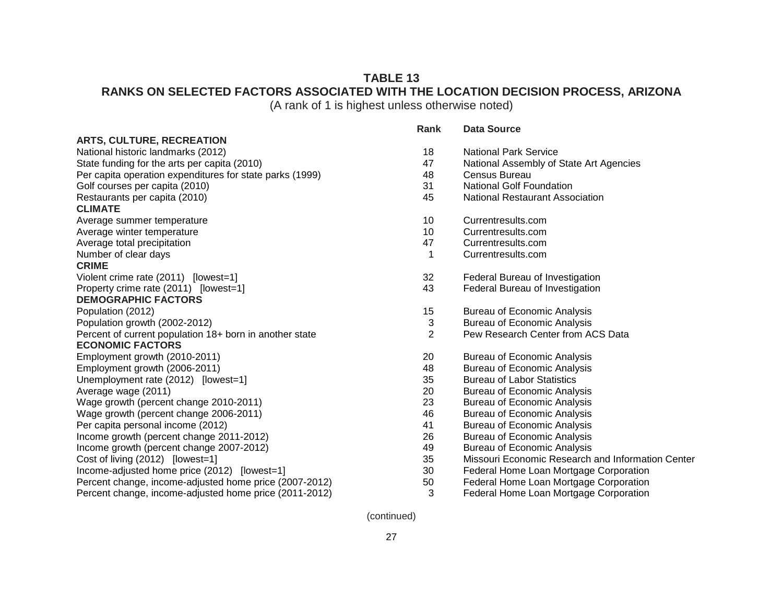# **TABLE 13 RANKS ON SELECTED FACTORS ASSOCIATED WITH THE LOCATION DECISION PROCESS, ARIZONA**

(A rank of 1 is highest unless otherwise noted)

#### **ARTS, CULTURE, RECREATION**

National historic landmarks (2012) State funding for the arts per capita (2010) Per capita operation expenditures for state parks (1999) Golf courses per capita (2010) Restaurants per capita (2010) **CLIMATE** Average summer temperature Average winter temperature Average total precipitation Number of clear days **CRIME** Violent crime rate (2011) [lowest=1] Property crime rate (2011) [lowest=1] **DEMOGRAPHIC FACTORS** Population (2012) Population growth (2002-2012) Percent of current population 18+ born in another state **ECONOMIC FACTORS** Employment growth (2010-2011) Employment growth (2006-2011) Unemployment rate  $(2012)$  [lowest=1] Average wage (2011) Wage growth (percent change 2010-2011) Wage growth (percent change 2006-2011) Per capita personal income (2012) Income growth (percent change 2011-2012) Income growth (percent change  $2007-2012$ ) Cost of living (2012) [lowest=1] 35 Missouri Economic Research and Information Center Income-adjusted home price  $(2012)$  [lowest=1] Percent change, income-adjusted home price (2007-2012) Percent change, income-adjusted home price (2011-2012)

| Rank                | Data Source                                                                                                   |
|---------------------|---------------------------------------------------------------------------------------------------------------|
| 18                  | <b>National Park Service</b>                                                                                  |
| 47                  | National Assembly of State Art Agencies                                                                       |
| 48                  | Census Bureau                                                                                                 |
| 31                  | National Golf Foundation                                                                                      |
| 45                  | National Restaurant Association                                                                               |
| 10                  | Currentresults.com                                                                                            |
| 10                  | Currentresults.com                                                                                            |
| 47                  | Currentresults.com                                                                                            |
| 1                   | Currentresults.com                                                                                            |
| 32                  | Federal Bureau of Investigation                                                                               |
| 43                  | Federal Bureau of Investigation                                                                               |
| 15<br>$\frac{3}{2}$ | <b>Bureau of Economic Analysis</b><br><b>Bureau of Economic Analysis</b><br>Pew Research Center from ACS Data |
| 20                  | <b>Bureau of Economic Analysis</b>                                                                            |
| 48                  | <b>Bureau of Economic Analysis</b>                                                                            |
| 35                  | <b>Bureau of Labor Statistics</b>                                                                             |
| 20                  | <b>Bureau of Economic Analysis</b>                                                                            |
| 23                  | <b>Bureau of Economic Analysis</b>                                                                            |
| 46                  | <b>Bureau of Economic Analysis</b>                                                                            |
| 41                  | <b>Bureau of Economic Analysis</b>                                                                            |
| 26                  | <b>Bureau of Economic Analysis</b>                                                                            |
| 49                  | <b>Bureau of Economic Analysis</b>                                                                            |
| 35                  | Missouri Economic Research and Informatio                                                                     |
| 30                  | Federal Home Loan Mortgage Corporation                                                                        |
| 50                  | Federal Home Loan Mortgage Corporation                                                                        |
| 3                   | Federal Home Loan Mortgage Corporation                                                                        |

(continued)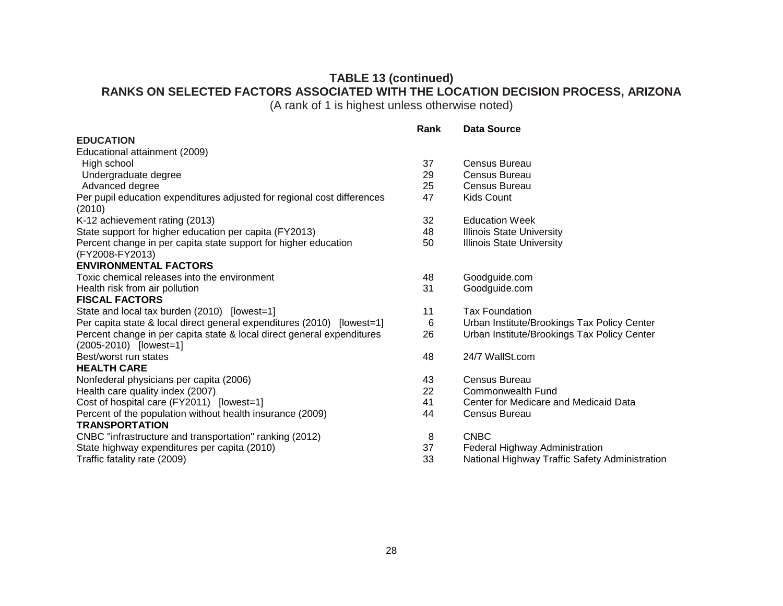# **TABLE 13 (continued) RANKS ON SELECTED FACTORS ASSOCIATED WITH THE LOCATION DECISION PROCESS, ARIZONA**

(A rank of 1 is highest unless otherwise noted)

**Rank Data Source**

#### **EDUCATION**

| Educational attainment (2009)                                           |    |                                                |
|-------------------------------------------------------------------------|----|------------------------------------------------|
| High school                                                             | 37 | Census Bureau                                  |
| Undergraduate degree                                                    | 29 | Census Bureau                                  |
| Advanced degree                                                         | 25 | Census Bureau                                  |
| Per pupil education expenditures adjusted for regional cost differences | 47 | <b>Kids Count</b>                              |
| (2010)                                                                  |    |                                                |
| K-12 achievement rating (2013)                                          | 32 | <b>Education Week</b>                          |
| State support for higher education per capita (FY2013)                  | 48 | <b>Illinois State University</b>               |
| Percent change in per capita state support for higher education         | 50 | <b>Illinois State University</b>               |
| (FY2008-FY2013)                                                         |    |                                                |
| <b>ENVIRONMENTAL FACTORS</b>                                            |    |                                                |
| Toxic chemical releases into the environment                            | 48 | Goodguide.com                                  |
| Health risk from air pollution                                          | 31 | Goodguide.com                                  |
| <b>FISCAL FACTORS</b>                                                   |    |                                                |
| State and local tax burden (2010) [lowest=1]                            | 11 | <b>Tax Foundation</b>                          |
| Per capita state & local direct general expenditures (2010) [lowest=1]  | 6  | Urban Institute/Brookings Tax Policy Center    |
| Percent change in per capita state & local direct general expenditures  | 26 | Urban Institute/Brookings Tax Policy Center    |
| (2005-2010) [lowest=1]                                                  |    |                                                |
| Best/worst run states                                                   | 48 | 24/7 WallSt.com                                |
| <b>HEALTH CARE</b>                                                      |    |                                                |
| Nonfederal physicians per capita (2006)                                 | 43 | Census Bureau                                  |
| Health care quality index (2007)                                        | 22 | Commonwealth Fund                              |
| Cost of hospital care (FY2011) [lowest=1]                               | 41 | Center for Medicare and Medicaid Data          |
| Percent of the population without health insurance (2009)               | 44 | Census Bureau                                  |
| <b>TRANSPORTATION</b>                                                   |    |                                                |
| CNBC "infrastructure and transportation" ranking (2012)                 | 8  | <b>CNBC</b>                                    |
| State highway expenditures per capita (2010)                            | 37 | Federal Highway Administration                 |
| Traffic fatality rate (2009)                                            | 33 | National Highway Traffic Safety Administration |
|                                                                         |    |                                                |

| 37 | Census Bureau                               |
|----|---------------------------------------------|
| 29 | Census Bureau                               |
| 25 | Census Bureau                               |
| 47 | Kids Count                                  |
| 32 | <b>Education Week</b>                       |
| 48 | <b>Illinois State University</b>            |
| 50 | <b>Illinois State University</b>            |
| 48 | Goodguide.com                               |
| 31 | Goodguide.com                               |
| 11 | <b>Tax Foundation</b>                       |
| 6  | Urban Institute/Brookings Tax Policy Center |
| 26 | Urban Institute/Brookings Tax Policy Center |
| 48 | 24/7 WallSt.com                             |
| 43 | Census Bureau                               |
| 22 | Commonwealth Fund                           |
| 41 | Center for Medicare and Medicaid Data       |
| 44 | Census Bureau                               |
| 8  | CNBC                                        |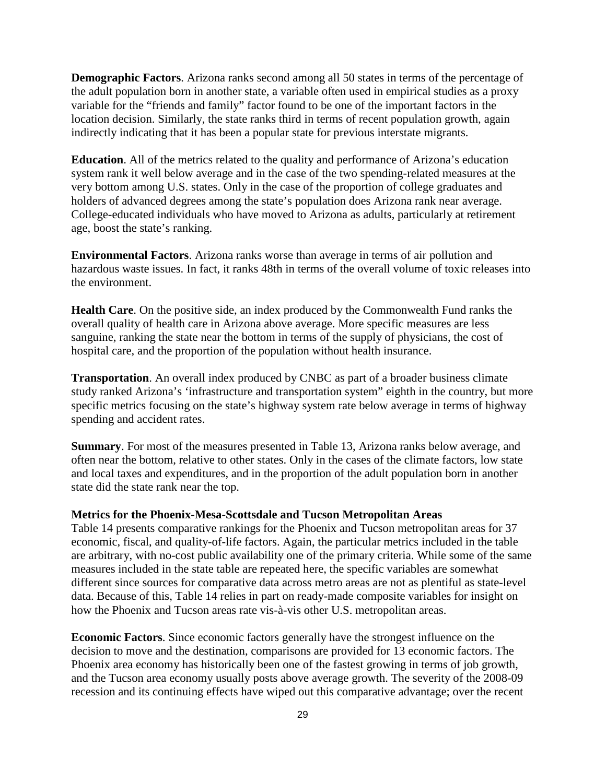**Demographic Factors**. Arizona ranks second among all 50 states in terms of the percentage of the adult population born in another state, a variable often used in empirical studies as a proxy variable for the "friends and family" factor found to be one of the important factors in the location decision. Similarly, the state ranks third in terms of recent population growth, again indirectly indicating that it has been a popular state for previous interstate migrants.

**Education**. All of the metrics related to the quality and performance of Arizona's education system rank it well below average and in the case of the two spending-related measures at the very bottom among U.S. states. Only in the case of the proportion of college graduates and holders of advanced degrees among the state's population does Arizona rank near average. College-educated individuals who have moved to Arizona as adults, particularly at retirement age, boost the state's ranking.

**Environmental Factors**. Arizona ranks worse than average in terms of air pollution and hazardous waste issues. In fact, it ranks 48th in terms of the overall volume of toxic releases into the environment.

**Health Care**. On the positive side, an index produced by the Commonwealth Fund ranks the overall quality of health care in Arizona above average. More specific measures are less sanguine, ranking the state near the bottom in terms of the supply of physicians, the cost of hospital care, and the proportion of the population without health insurance.

**Transportation**. An overall index produced by CNBC as part of a broader business climate study ranked Arizona's 'infrastructure and transportation system" eighth in the country, but more specific metrics focusing on the state's highway system rate below average in terms of highway spending and accident rates.

**Summary**. For most of the measures presented in Table 13, Arizona ranks below average, and often near the bottom, relative to other states. Only in the cases of the climate factors, low state and local taxes and expenditures, and in the proportion of the adult population born in another state did the state rank near the top.

#### **Metrics for the Phoenix-Mesa-Scottsdale and Tucson Metropolitan Areas**

Table 14 presents comparative rankings for the Phoenix and Tucson metropolitan areas for 37 economic, fiscal, and quality-of-life factors. Again, the particular metrics included in the table are arbitrary, with no-cost public availability one of the primary criteria. While some of the same measures included in the state table are repeated here, the specific variables are somewhat different since sources for comparative data across metro areas are not as plentiful as state-level data. Because of this, Table 14 relies in part on ready-made composite variables for insight on how the Phoenix and Tucson areas rate vis-à-vis other U.S. metropolitan areas.

**Economic Factors**. Since economic factors generally have the strongest influence on the decision to move and the destination, comparisons are provided for 13 economic factors. The Phoenix area economy has historically been one of the fastest growing in terms of job growth, and the Tucson area economy usually posts above average growth. The severity of the 2008-09 recession and its continuing effects have wiped out this comparative advantage; over the recent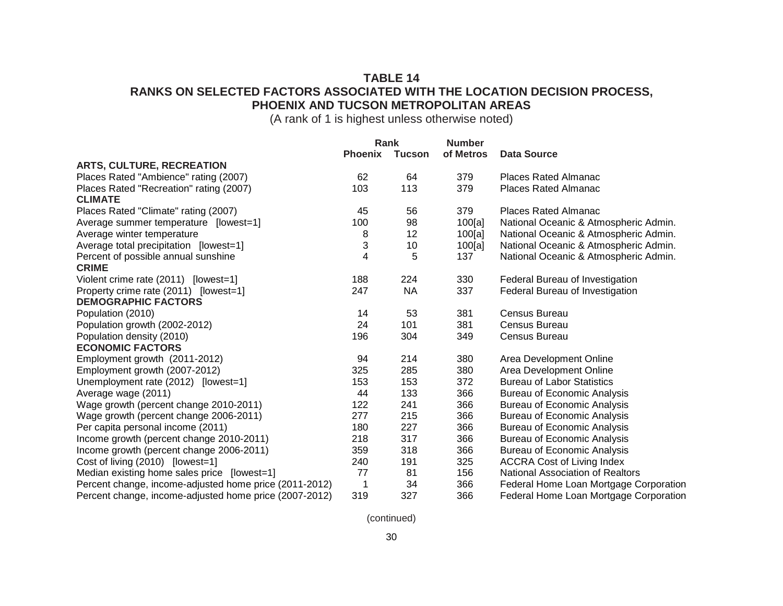# **TABLE 14 RANKS ON SELECTED FACTORS ASSOCIATED WITH THE LOCATION DECISION PROCESS, PHOENIX AND TUCSON METROPOLITAN AREAS**

(A rank of 1 is highest unless otherwise noted)

|                                                           | Rank           |               | <b>Number</b> |                                        |  |  |
|-----------------------------------------------------------|----------------|---------------|---------------|----------------------------------------|--|--|
|                                                           | <b>Phoenix</b> | <b>Tucson</b> | of Metros     | <b>Data Source</b>                     |  |  |
| <b>ARTS, CULTURE, RECREATION</b>                          |                |               |               |                                        |  |  |
| Places Rated "Ambience" rating (2007)                     | 62             | 64            | 379           | <b>Places Rated Almanac</b>            |  |  |
| Places Rated "Recreation" rating (2007)<br><b>CLIMATE</b> | 103            | 113           | 379           | <b>Places Rated Almanac</b>            |  |  |
| Places Rated "Climate" rating (2007)                      | 45             | 56            | 379           | <b>Places Rated Almanac</b>            |  |  |
| Average summer temperature [lowest=1]                     | 100            | 98            | 100[a]        | National Oceanic & Atmospheric Admin.  |  |  |
| Average winter temperature                                | 8              | 12            | 100[a]        | National Oceanic & Atmospheric Admin.  |  |  |
| Average total precipitation [lowest=1]                    | 3              | 10            | 100[a]        | National Oceanic & Atmospheric Admin.  |  |  |
| Percent of possible annual sunshine                       | 4              | 5             | 137           | National Oceanic & Atmospheric Admin.  |  |  |
| <b>CRIME</b>                                              |                |               |               |                                        |  |  |
| Violent crime rate (2011) [lowest=1]                      | 188            | 224           | 330           | Federal Bureau of Investigation        |  |  |
| Property crime rate (2011) [lowest=1]                     | 247            | <b>NA</b>     | 337           | Federal Bureau of Investigation        |  |  |
| <b>DEMOGRAPHIC FACTORS</b>                                |                |               |               |                                        |  |  |
| Population (2010)                                         | 14             | 53            | 381           | Census Bureau                          |  |  |
| Population growth (2002-2012)                             | 24             | 101           | 381           | Census Bureau                          |  |  |
| Population density (2010)                                 | 196            | 304           | 349           | Census Bureau                          |  |  |
| <b>ECONOMIC FACTORS</b>                                   |                |               |               |                                        |  |  |
| Employment growth (2011-2012)                             | 94             | 214           | 380           | Area Development Online                |  |  |
| Employment growth (2007-2012)                             | 325            | 285           | 380           | Area Development Online                |  |  |
| Unemployment rate (2012) [lowest=1]                       | 153            | 153           | 372           | <b>Bureau of Labor Statistics</b>      |  |  |
| Average wage (2011)                                       | 44             | 133           | 366           | <b>Bureau of Economic Analysis</b>     |  |  |
| Wage growth (percent change 2010-2011)                    | 122            | 241           | 366           | <b>Bureau of Economic Analysis</b>     |  |  |
| Wage growth (percent change 2006-2011)                    | 277            | 215           | 366           | <b>Bureau of Economic Analysis</b>     |  |  |
| Per capita personal income (2011)                         | 180            | 227           | 366           | <b>Bureau of Economic Analysis</b>     |  |  |
| Income growth (percent change 2010-2011)                  | 218            | 317           | 366           | <b>Bureau of Economic Analysis</b>     |  |  |
| Income growth (percent change 2006-2011)                  | 359            | 318           | 366           | <b>Bureau of Economic Analysis</b>     |  |  |
| Cost of living (2010) [lowest=1]                          | 240            | 191           | 325           | <b>ACCRA Cost of Living Index</b>      |  |  |
| Median existing home sales price [lowest=1]               | 77             | 81            | 156           | National Association of Realtors       |  |  |
| Percent change, income-adjusted home price (2011-2012)    | 1              | 34            | 366           | Federal Home Loan Mortgage Corporation |  |  |
| Percent change, income-adjusted home price (2007-2012)    | 319            | 327           | 366           | Federal Home Loan Mortgage Corporation |  |  |

(continued)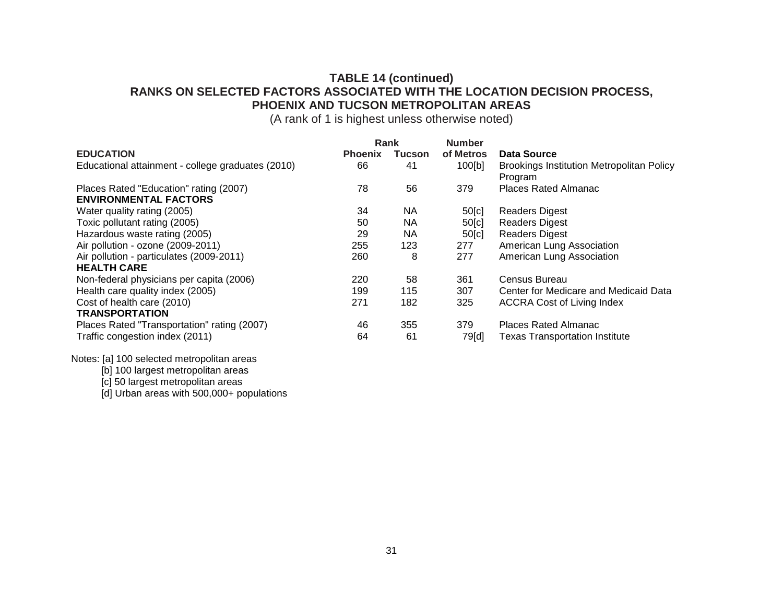# **TABLE 14 (continued) RANKS ON SELECTED FACTORS ASSOCIATED WITH THE LOCATION DECISION PROCESS, PHOENIX AND TUCSON METROPOLITAN AREAS**

(A rank of 1 is highest unless otherwise noted)

|                                                   | Rank           |           | <b>Number</b> |                                                             |
|---------------------------------------------------|----------------|-----------|---------------|-------------------------------------------------------------|
| <b>EDUCATION</b>                                  | <b>Phoenix</b> | Tucson    | of Metros     | Data Source                                                 |
| Educational attainment - college graduates (2010) | 66             | 41        | 100[b]        | <b>Brookings Institution Metropolitan Policy</b><br>Program |
| Places Rated "Education" rating (2007)            | 78             | 56        | 379           | <b>Places Rated Almanac</b>                                 |
| <b>ENVIRONMENTAL FACTORS</b>                      |                |           |               |                                                             |
| Water quality rating (2005)                       | 34             | <b>NA</b> | 50[c]         | <b>Readers Digest</b>                                       |
| Toxic pollutant rating (2005)                     | 50             | <b>NA</b> | 50[c]         | <b>Readers Digest</b>                                       |
| Hazardous waste rating (2005)                     | 29             | <b>NA</b> | 50[c]         | <b>Readers Digest</b>                                       |
| Air pollution - ozone (2009-2011)                 | 255            | 123       | 277           | American Lung Association                                   |
| Air pollution - particulates (2009-2011)          | 260            | 8         | 277           | American Lung Association                                   |
| <b>HEALTH CARE</b>                                |                |           |               |                                                             |
| Non-federal physicians per capita (2006)          | 220            | 58        | 361           | Census Bureau                                               |
| Health care quality index (2005)                  | 199            | 115       | 307           | Center for Medicare and Medicaid Data                       |
| Cost of health care (2010)                        | 271            | 182       | 325           | <b>ACCRA Cost of Living Index</b>                           |
| <b>TRANSPORTATION</b>                             |                |           |               |                                                             |
| Places Rated "Transportation" rating (2007)       | 46             | 355       | 379           | <b>Places Rated Almanac</b>                                 |
| Traffic congestion index (2011)                   | 64             | 61        | 79[d]         | <b>Texas Transportation Institute</b>                       |

Notes: [a] 100 selected metropolitan areas

[b] 100 largest metropolitan areas

[c] 50 largest metropolitan areas

[d] Urban areas with 500,000+ populations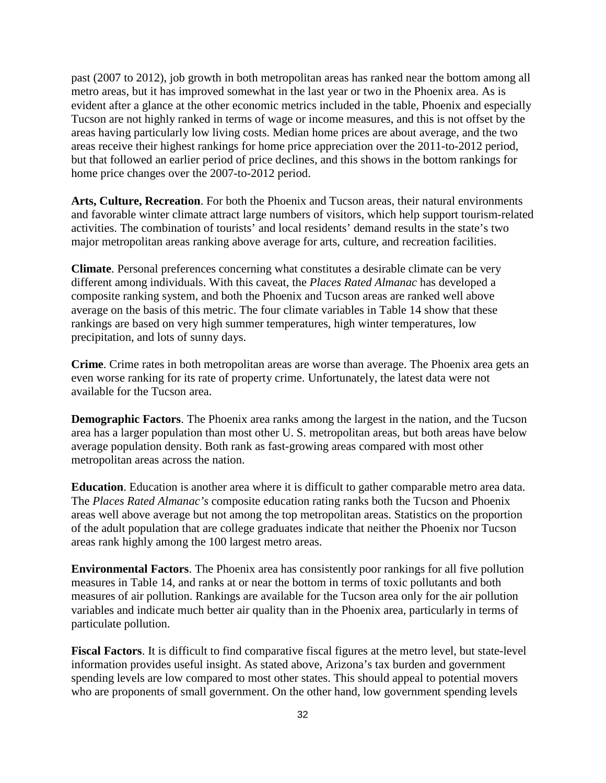past (2007 to 2012), job growth in both metropolitan areas has ranked near the bottom among all metro areas, but it has improved somewhat in the last year or two in the Phoenix area. As is evident after a glance at the other economic metrics included in the table, Phoenix and especially Tucson are not highly ranked in terms of wage or income measures, and this is not offset by the areas having particularly low living costs. Median home prices are about average, and the two areas receive their highest rankings for home price appreciation over the 2011-to-2012 period, but that followed an earlier period of price declines, and this shows in the bottom rankings for home price changes over the 2007-to-2012 period.

**Arts, Culture, Recreation**. For both the Phoenix and Tucson areas, their natural environments and favorable winter climate attract large numbers of visitors, which help support tourism-related activities. The combination of tourists' and local residents' demand results in the state's two major metropolitan areas ranking above average for arts, culture, and recreation facilities.

**Climate**. Personal preferences concerning what constitutes a desirable climate can be very different among individuals. With this caveat, the *Places Rated Almanac* has developed a composite ranking system, and both the Phoenix and Tucson areas are ranked well above average on the basis of this metric. The four climate variables in Table 14 show that these rankings are based on very high summer temperatures, high winter temperatures, low precipitation, and lots of sunny days.

**Crime**. Crime rates in both metropolitan areas are worse than average. The Phoenix area gets an even worse ranking for its rate of property crime. Unfortunately, the latest data were not available for the Tucson area.

**Demographic Factors**. The Phoenix area ranks among the largest in the nation, and the Tucson area has a larger population than most other U. S. metropolitan areas, but both areas have below average population density. Both rank as fast-growing areas compared with most other metropolitan areas across the nation.

**Education**. Education is another area where it is difficult to gather comparable metro area data. The *Places Rated Almanac's* composite education rating ranks both the Tucson and Phoenix areas well above average but not among the top metropolitan areas. Statistics on the proportion of the adult population that are college graduates indicate that neither the Phoenix nor Tucson areas rank highly among the 100 largest metro areas.

**Environmental Factors**. The Phoenix area has consistently poor rankings for all five pollution measures in Table 14, and ranks at or near the bottom in terms of toxic pollutants and both measures of air pollution. Rankings are available for the Tucson area only for the air pollution variables and indicate much better air quality than in the Phoenix area, particularly in terms of particulate pollution.

**Fiscal Factors**. It is difficult to find comparative fiscal figures at the metro level, but state-level information provides useful insight. As stated above, Arizona's tax burden and government spending levels are low compared to most other states. This should appeal to potential movers who are proponents of small government. On the other hand, low government spending levels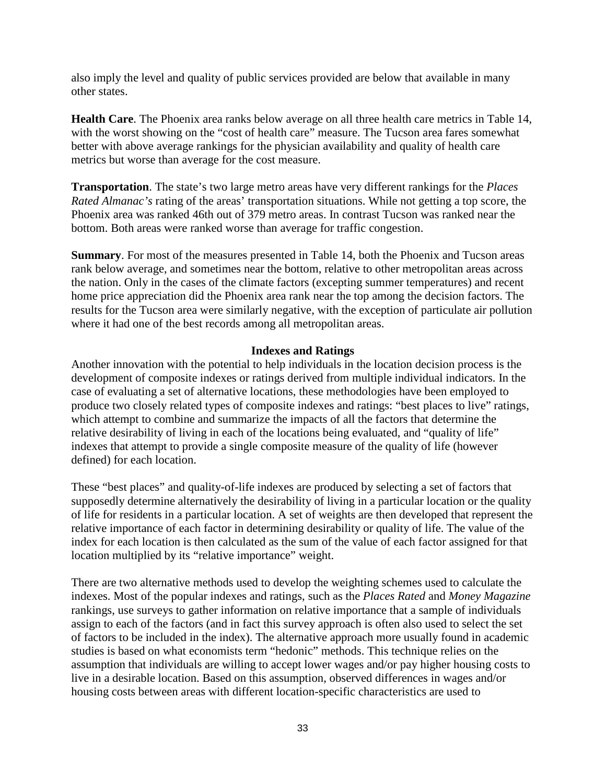also imply the level and quality of public services provided are below that available in many other states.

**Health Care**. The Phoenix area ranks below average on all three health care metrics in Table 14, with the worst showing on the "cost of health care" measure. The Tucson area fares somewhat better with above average rankings for the physician availability and quality of health care metrics but worse than average for the cost measure.

**Transportation**. The state's two large metro areas have very different rankings for the *Places Rated Almanac's* rating of the areas' transportation situations. While not getting a top score, the Phoenix area was ranked 46th out of 379 metro areas. In contrast Tucson was ranked near the bottom. Both areas were ranked worse than average for traffic congestion.

**Summary**. For most of the measures presented in Table 14, both the Phoenix and Tucson areas rank below average, and sometimes near the bottom, relative to other metropolitan areas across the nation. Only in the cases of the climate factors (excepting summer temperatures) and recent home price appreciation did the Phoenix area rank near the top among the decision factors. The results for the Tucson area were similarly negative, with the exception of particulate air pollution where it had one of the best records among all metropolitan areas.

### **Indexes and Ratings**

Another innovation with the potential to help individuals in the location decision process is the development of composite indexes or ratings derived from multiple individual indicators. In the case of evaluating a set of alternative locations, these methodologies have been employed to produce two closely related types of composite indexes and ratings: "best places to live" ratings, which attempt to combine and summarize the impacts of all the factors that determine the relative desirability of living in each of the locations being evaluated, and "quality of life" indexes that attempt to provide a single composite measure of the quality of life (however defined) for each location.

These "best places" and quality-of-life indexes are produced by selecting a set of factors that supposedly determine alternatively the desirability of living in a particular location or the quality of life for residents in a particular location. A set of weights are then developed that represent the relative importance of each factor in determining desirability or quality of life. The value of the index for each location is then calculated as the sum of the value of each factor assigned for that location multiplied by its "relative importance" weight.

There are two alternative methods used to develop the weighting schemes used to calculate the indexes. Most of the popular indexes and ratings, such as the *Places Rated* and *Money Magazine* rankings, use surveys to gather information on relative importance that a sample of individuals assign to each of the factors (and in fact this survey approach is often also used to select the set of factors to be included in the index). The alternative approach more usually found in academic studies is based on what economists term "hedonic" methods. This technique relies on the assumption that individuals are willing to accept lower wages and/or pay higher housing costs to live in a desirable location. Based on this assumption, observed differences in wages and/or housing costs between areas with different location-specific characteristics are used to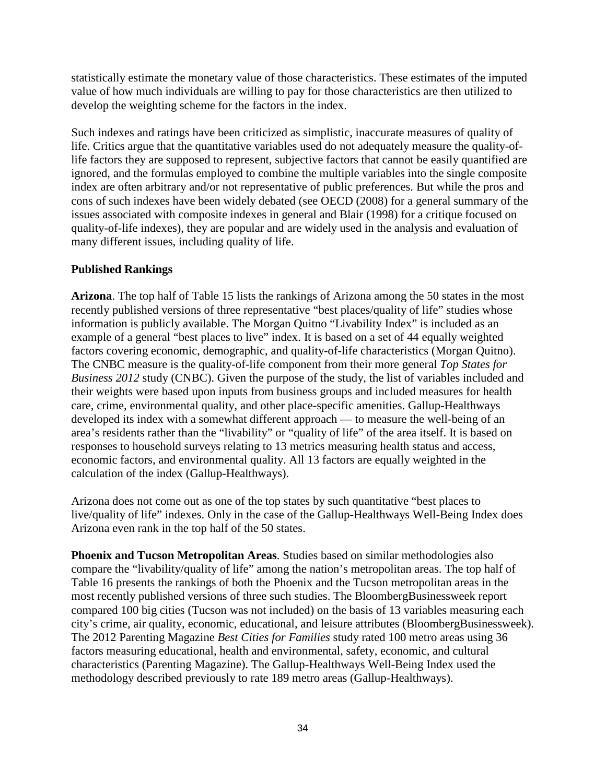statistically estimate the monetary value of those characteristics. These estimates of the imputed value of how much individuals are willing to pay for those characteristics are then utilized to develop the weighting scheme for the factors in the index.

Such indexes and ratings have been criticized as simplistic, inaccurate measures of quality of life. Critics argue that the quantitative variables used do not adequately measure the quality-oflife factors they are supposed to represent, subjective factors that cannot be easily quantified are ignored, and the formulas employed to combine the multiple variables into the single composite index are often arbitrary and/or not representative of public preferences. But while the pros and cons of such indexes have been widely debated (see OECD (2008) for a general summary of the issues associated with composite indexes in general and Blair (1998) for a critique focused on quality-of-life indexes), they are popular and are widely used in the analysis and evaluation of many different issues, including quality of life.

# **Published Rankings**

**Arizona**. The top half of Table 15 lists the rankings of Arizona among the 50 states in the most recently published versions of three representative "best places/quality of life" studies whose information is publicly available. The Morgan Quitno "Livability Index" is included as an example of a general "best places to live" index. It is based on a set of 44 equally weighted factors covering economic, demographic, and quality-of-life characteristics (Morgan Quitno). The CNBC measure is the quality-of-life component from their more general *Top States for Business 2012* study (CNBC). Given the purpose of the study, the list of variables included and their weights were based upon inputs from business groups and included measures for health care, crime, environmental quality, and other place-specific amenities. Gallup-Healthways developed its index with a somewhat different approach — to measure the well-being of an area's residents rather than the "livability" or "quality of life" of the area itself. It is based on responses to household surveys relating to 13 metrics measuring health status and access, economic factors, and environmental quality. All 13 factors are equally weighted in the calculation of the index (Gallup-Healthways).

Arizona does not come out as one of the top states by such quantitative "best places to live/quality of life" indexes. Only in the case of the Gallup-Healthways Well-Being Index does Arizona even rank in the top half of the 50 states.

**Phoenix and Tucson Metropolitan Areas**. Studies based on similar methodologies also compare the "livability/quality of life" among the nation's metropolitan areas. The top half of Table 16 presents the rankings of both the Phoenix and the Tucson metropolitan areas in the most recently published versions of three such studies. The BloombergBusinessweek report compared 100 big cities (Tucson was not included) on the basis of 13 variables measuring each city's crime, air quality, economic, educational, and leisure attributes (BloombergBusinessweek). The 2012 Parenting Magazine *Best Cities for Families* study rated 100 metro areas using 36 factors measuring educational, health and environmental, safety, economic, and cultural characteristics (Parenting Magazine). The Gallup-Healthways Well-Being Index used the methodology described previously to rate 189 metro areas (Gallup-Healthways).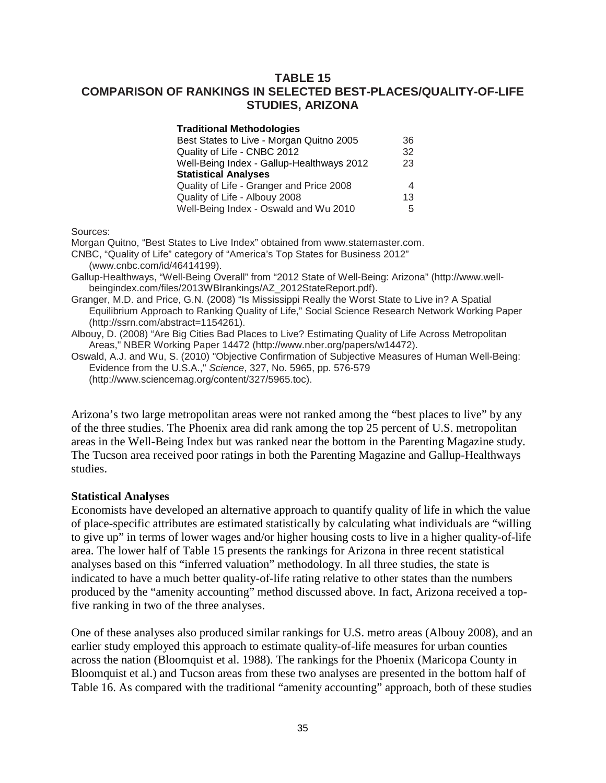# **TABLE 15 COMPARISON OF RANKINGS IN SELECTED BEST-PLACES/QUALITY-OF-LIFE STUDIES, ARIZONA**

| Traditional Methodologies                 |    |
|-------------------------------------------|----|
| Best States to Live - Morgan Quitno 2005  | 36 |
| Quality of Life - CNBC 2012               | 32 |
| Well-Being Index - Gallup-Healthways 2012 | 23 |
| <b>Statistical Analyses</b>               |    |
| Quality of Life - Granger and Price 2008  | 4  |
| Quality of Life - Albouy 2008             | 13 |
| Well-Being Index - Oswald and Wu 2010     | 5  |
|                                           |    |

Sources:

Morgan Quitno, "Best States to Live Index" obtained from www.statemaster.com.

CNBC, "Quality of Life" category of "America's Top States for Business 2012"

(www.cnbc.com/id/46414199).

Gallup-Healthways, "Well-Being Overall" from "2012 State of Well-Being: Arizona" (http://www.wellbeingindex.com/files/2013WBIrankings/AZ\_2012StateReport.pdf).

Granger, M.D. and Price, G.N. (2008) "Is Mississippi Really the Worst State to Live in? A Spatial Equilibrium Approach to Ranking Quality of Life," Social Science Research Network Working Paper (http://ssrn.com/abstract=1154261).

Albouy, D. (2008) "Are Big Cities Bad Places to Live? Estimating Quality of Life Across Metropolitan Areas," NBER Working Paper 14472 (http://www.nber.org/papers/w14472).

Oswald, A.J. and Wu, S. (2010) "Objective Confirmation of Subjective Measures of Human Well-Being: Evidence from the U.S.A.," *Science*, 327, No. 5965, pp. 576-579 (http://www.sciencemag.org/content/327/5965.toc).

Arizona's two large metropolitan areas were not ranked among the "best places to live" by any of the three studies. The Phoenix area did rank among the top 25 percent of U.S. metropolitan areas in the Well-Being Index but was ranked near the bottom in the Parenting Magazine study. The Tucson area received poor ratings in both the Parenting Magazine and Gallup-Healthways studies.

### **Statistical Analyses**

Economists have developed an alternative approach to quantify quality of life in which the value of place-specific attributes are estimated statistically by calculating what individuals are "willing to give up" in terms of lower wages and/or higher housing costs to live in a higher quality-of-life area. The lower half of Table 15 presents the rankings for Arizona in three recent statistical analyses based on this "inferred valuation" methodology. In all three studies, the state is indicated to have a much better quality-of-life rating relative to other states than the numbers produced by the "amenity accounting" method discussed above. In fact, Arizona received a topfive ranking in two of the three analyses.

One of these analyses also produced similar rankings for U.S. metro areas (Albouy 2008), and an earlier study employed this approach to estimate quality-of-life measures for urban counties across the nation (Bloomquist et al. 1988). The rankings for the Phoenix (Maricopa County in Bloomquist et al.) and Tucson areas from these two analyses are presented in the bottom half of Table 16. As compared with the traditional "amenity accounting" approach, both of these studies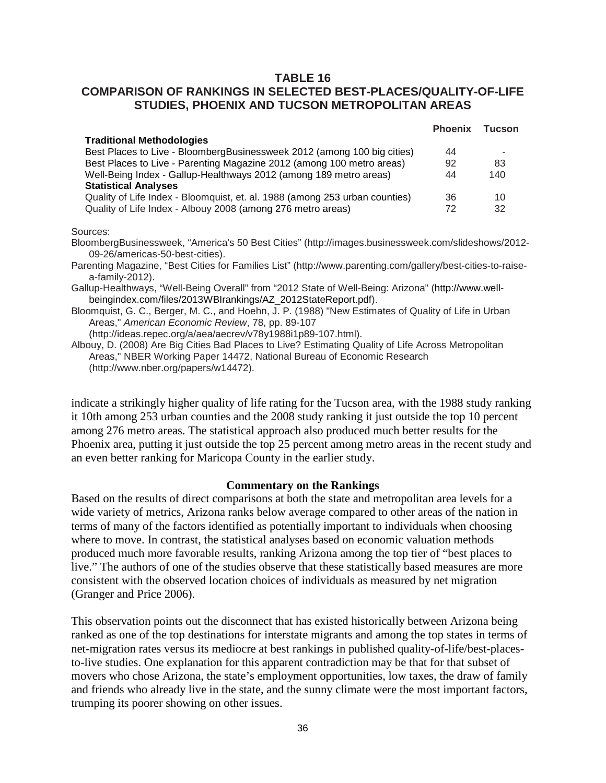# **TABLE 16**

# **COMPARISON OF RANKINGS IN SELECTED BEST-PLACES/QUALITY-OF-LIFE STUDIES, PHOENIX AND TUCSON METROPOLITAN AREAS**

| <b>Phoenix</b> | <b>Tucson</b> |
|----------------|---------------|
|                |               |
| 44             |               |
| 92             | 83            |
| 44             | 140           |
|                |               |
| 36             | 10            |
| 72             | 32            |
|                |               |

#### Sources:

BloombergBusinessweek, "America's 50 Best Cities" (http://images.businessweek.com/slideshows/2012- 09-26/americas-50-best-cities).

Parenting Magazine, "Best Cities for Families List" (http://www.parenting.com/gallery/best-cities-to-raisea-family-2012).

Gallup-Healthways, "Well-Being Overall" from "2012 State of Well-Being: Arizona" (http://www.wellbeingindex.com/files/2013WBIrankings/AZ\_2012StateReport.pdf).

Bloomquist, G. C., Berger, M. C., and Hoehn, J. P. (1988) "New Estimates of Quality of Life in Urban Areas," *American Economic Review*, 78, pp. 89-107

(http://ideas.repec.org/a/aea/aecrev/v78y1988i1p89-107.html).

Albouy, D. (2008) Are Big Cities Bad Places to Live? Estimating Quality of Life Across Metropolitan Areas," NBER Working Paper 14472, National Bureau of Economic Research (http://www.nber.org/papers/w14472).

indicate a strikingly higher quality of life rating for the Tucson area, with the 1988 study ranking it 10th among 253 urban counties and the 2008 study ranking it just outside the top 10 percent among 276 metro areas. The statistical approach also produced much better results for the Phoenix area, putting it just outside the top 25 percent among metro areas in the recent study and an even better ranking for Maricopa County in the earlier study.

### **Commentary on the Rankings**

Based on the results of direct comparisons at both the state and metropolitan area levels for a wide variety of metrics, Arizona ranks below average compared to other areas of the nation in terms of many of the factors identified as potentially important to individuals when choosing where to move. In contrast, the statistical analyses based on economic valuation methods produced much more favorable results, ranking Arizona among the top tier of "best places to live." The authors of one of the studies observe that these statistically based measures are more consistent with the observed location choices of individuals as measured by net migration (Granger and Price 2006).

This observation points out the disconnect that has existed historically between Arizona being ranked as one of the top destinations for interstate migrants and among the top states in terms of net-migration rates versus its mediocre at best rankings in published quality-of-life/best-placesto-live studies. One explanation for this apparent contradiction may be that for that subset of movers who chose Arizona, the state's employment opportunities, low taxes, the draw of family and friends who already live in the state, and the sunny climate were the most important factors, trumping its poorer showing on other issues.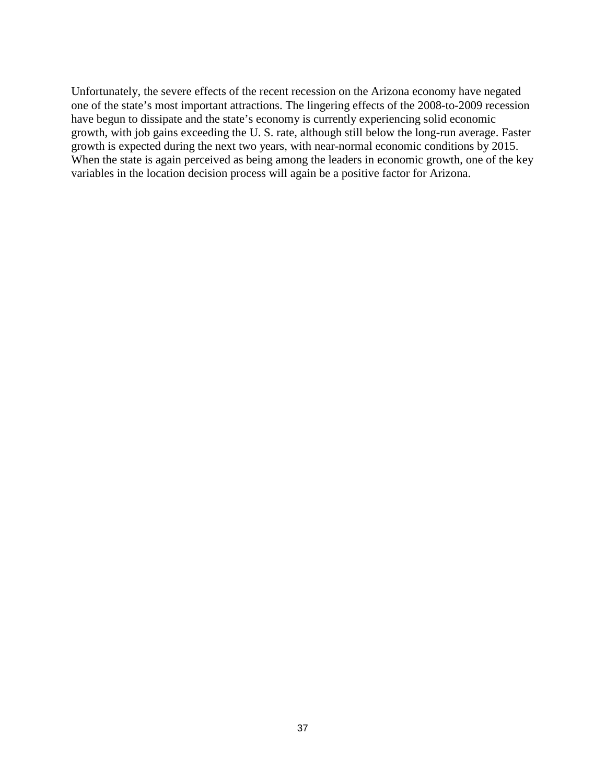Unfortunately, the severe effects of the recent recession on the Arizona economy have negated one of the state's most important attractions. The lingering effects of the 2008-to-2009 recession have begun to dissipate and the state's economy is currently experiencing solid economic growth, with job gains exceeding the U. S. rate, although still below the long-run average. Faster growth is expected during the next two years, with near-normal economic conditions by 2015. When the state is again perceived as being among the leaders in economic growth, one of the key variables in the location decision process will again be a positive factor for Arizona.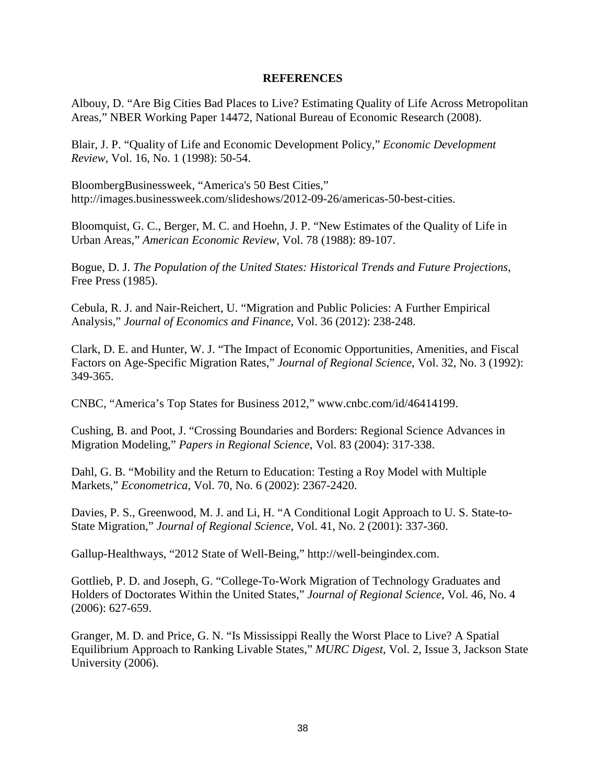### **REFERENCES**

Albouy, D. "Are Big Cities Bad Places to Live? Estimating Quality of Life Across Metropolitan Areas," NBER Working Paper 14472, National Bureau of Economic Research (2008).

Blair, J. P. "Quality of Life and Economic Development Policy," *Economic Development Review*, Vol. 16, No. 1 (1998): 50-54.

BloombergBusinessweek, "America's 50 Best Cities," http://images.businessweek.com/slideshows/2012-09-26/americas-50-best-cities.

Bloomquist, G. C., Berger, M. C. and Hoehn, J. P. "New Estimates of the Quality of Life in Urban Areas," *American Economic Review*, Vol. 78 (1988): 89-107.

Bogue, D. J. *The Population of the United States: Historical Trends and Future Projections*, Free Press (1985).

Cebula, R. J. and Nair-Reichert, U. "Migration and Public Policies: A Further Empirical Analysis," *Journal of Economics and Finance*, Vol. 36 (2012): 238-248.

Clark, D. E. and Hunter, W. J. "The Impact of Economic Opportunities, Amenities, and Fiscal Factors on Age-Specific Migration Rates," *Journal of Regional Science*, Vol. 32, No. 3 (1992): 349-365.

CNBC, "America's Top States for Business 2012," www.cnbc.com/id/46414199.

Cushing, B. and Poot, J. "Crossing Boundaries and Borders: Regional Science Advances in Migration Modeling," *Papers in Regional Science*, Vol. 83 (2004): 317-338.

Dahl, G. B. "Mobility and the Return to Education: Testing a Roy Model with Multiple Markets," *Econometrica*, Vol. 70, No. 6 (2002): 2367-2420.

Davies, P. S., Greenwood, M. J. and Li, H. "A Conditional Logit Approach to U. S. State-to-State Migration," *Journal of Regional Science*, Vol. 41, No. 2 (2001): 337-360.

Gallup-Healthways, "2012 State of Well-Being," http://well-beingindex.com.

Gottlieb, P. D. and Joseph, G. "College-To-Work Migration of Technology Graduates and Holders of Doctorates Within the United States," *Journal of Regional Science*, Vol. 46, No. 4 (2006): 627-659.

Granger, M. D. and Price, G. N. "Is Mississippi Really the Worst Place to Live? A Spatial Equilibrium Approach to Ranking Livable States," *MURC Digest*, Vol. 2, Issue 3, Jackson State University (2006).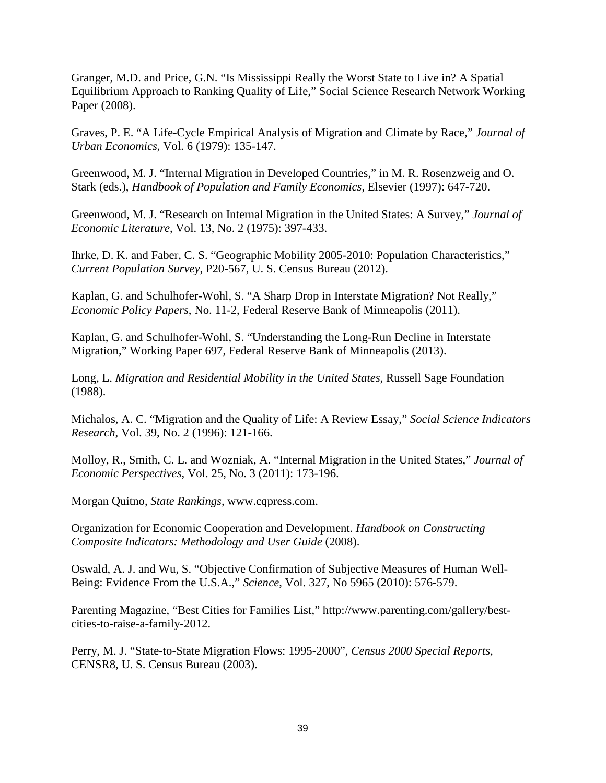Granger, M.D. and Price, G.N. "Is Mississippi Really the Worst State to Live in? A Spatial Equilibrium Approach to Ranking Quality of Life," Social Science Research Network Working Paper (2008).

Graves, P. E. "A Life-Cycle Empirical Analysis of Migration and Climate by Race," *Journal of Urban Economics*, Vol. 6 (1979): 135-147.

Greenwood, M. J. "Internal Migration in Developed Countries," in M. R. Rosenzweig and O. Stark (eds.), *Handbook of Population and Family Economics*, Elsevier (1997): 647-720.

Greenwood, M. J. "Research on Internal Migration in the United States: A Survey," *Journal of Economic Literature*, Vol. 13, No. 2 (1975): 397-433.

Ihrke, D. K. and Faber, C. S. "Geographic Mobility 2005-2010: Population Characteristics," *Current Population Survey*, P20-567, U. S. Census Bureau (2012).

Kaplan, G. and Schulhofer-Wohl, S. "A Sharp Drop in Interstate Migration? Not Really," *Economic Policy Papers*, No. 11-2, Federal Reserve Bank of Minneapolis (2011).

Kaplan, G. and Schulhofer-Wohl, S. "Understanding the Long-Run Decline in Interstate Migration," Working Paper 697, Federal Reserve Bank of Minneapolis (2013).

Long, L. *Migration and Residential Mobility in the United States*, Russell Sage Foundation (1988).

Michalos, A. C. "Migration and the Quality of Life: A Review Essay," *Social Science Indicators Research*, Vol. 39, No. 2 (1996): 121-166.

Molloy, R., Smith, C. L. and Wozniak, A. "Internal Migration in the United States," *Journal of Economic Perspectives*, Vol. 25, No. 3 (2011): 173-196.

Morgan Quitno, *State Rankings*, www.cqpress.com.

Organization for Economic Cooperation and Development. *Handbook on Constructing Composite Indicators: Methodology and User Guide* (2008).

Oswald, A. J. and Wu, S. "Objective Confirmation of Subjective Measures of Human Well-Being: Evidence From the U.S.A.," *Science*, Vol. 327, No 5965 (2010): 576-579.

Parenting Magazine, "Best Cities for Families List," http://www.parenting.com/gallery/bestcities-to-raise-a-family-2012.

Perry, M. J. "State-to-State Migration Flows: 1995-2000", *Census 2000 Special Reports*, CENSR8, U. S. Census Bureau (2003).